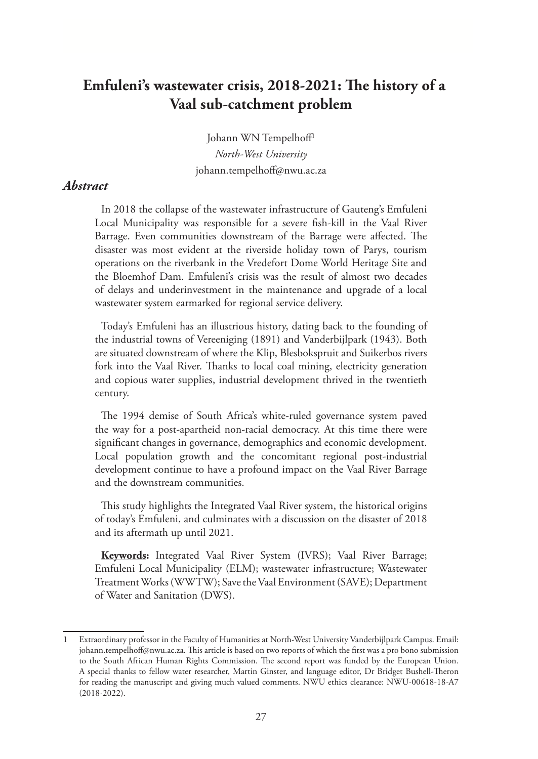# **Emfuleni's wastewater crisis, 2018-2021: The history of a Vaal sub-catchment problem**

Johann WN Tempelhoff1 *North-West University* johann.tempelhoff@nwu.ac.za

### *Abstract*

In 2018 the collapse of the wastewater infrastructure of Gauteng's Emfuleni Local Municipality was responsible for a severe fish-kill in the Vaal River Barrage. Even communities downstream of the Barrage were affected. The disaster was most evident at the riverside holiday town of Parys, tourism operations on the riverbank in the Vredefort Dome World Heritage Site and the Bloemhof Dam. Emfuleni's crisis was the result of almost two decades of delays and underinvestment in the maintenance and upgrade of a local wastewater system earmarked for regional service delivery.

Today's Emfuleni has an illustrious history, dating back to the founding of the industrial towns of Vereeniging (1891) and Vanderbijlpark (1943). Both are situated downstream of where the Klip, Blesbokspruit and Suikerbos rivers fork into the Vaal River. Thanks to local coal mining, electricity generation and copious water supplies, industrial development thrived in the twentieth century.

The 1994 demise of South Africa's white-ruled governance system paved the way for a post-apartheid non-racial democracy. At this time there were significant changes in governance, demographics and economic development. Local population growth and the concomitant regional post-industrial development continue to have a profound impact on the Vaal River Barrage and the downstream communities.

This study highlights the Integrated Vaal River system, the historical origins of today's Emfuleni, and culminates with a discussion on the disaster of 2018 and its aftermath up until 2021.

**Keywords:** Integrated Vaal River System (IVRS); Vaal River Barrage; Emfuleni Local Municipality (ELM); wastewater infrastructure; Wastewater Treatment Works (WWTW); Save the Vaal Environment (SAVE); Department of Water and Sanitation (DWS).

<sup>1</sup> Extraordinary professor in the Faculty of Humanities at North-West University Vanderbijlpark Campus. Email: johann.tempelhoff@nwu.ac.za. This article is based on two reports of which the first was a pro bono submission to the South African Human Rights Commission. The second report was funded by the European Union. A special thanks to fellow water researcher, Martin Ginster, and language editor, Dr Bridget Bushell-Theron for reading the manuscript and giving much valued comments. NWU ethics clearance: NWU-00618-18-A7 (2018-2022).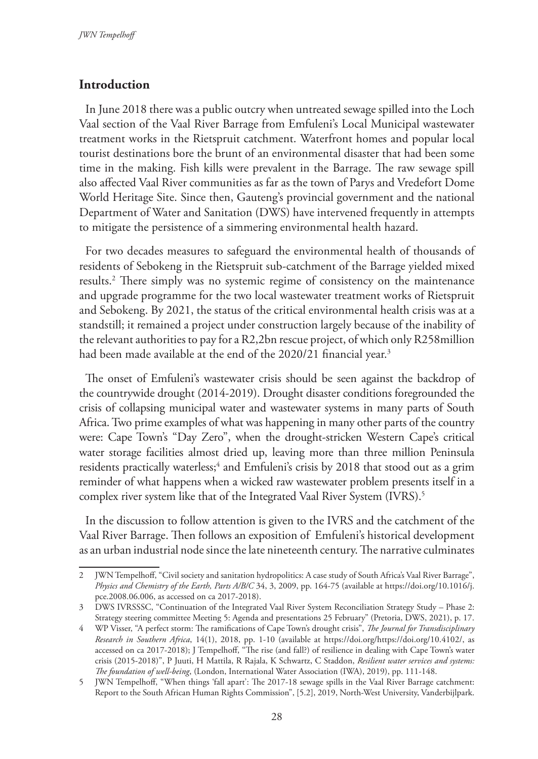### **Introduction**

In June 2018 there was a public outcry when untreated sewage spilled into the Loch Vaal section of the Vaal River Barrage from Emfuleni's Local Municipal wastewater treatment works in the Rietspruit catchment. Waterfront homes and popular local tourist destinations bore the brunt of an environmental disaster that had been some time in the making. Fish kills were prevalent in the Barrage. The raw sewage spill also affected Vaal River communities as far as the town of Parys and Vredefort Dome World Heritage Site. Since then, Gauteng's provincial government and the national Department of Water and Sanitation (DWS) have intervened frequently in attempts to mitigate the persistence of a simmering environmental health hazard.

For two decades measures to safeguard the environmental health of thousands of residents of Sebokeng in the Rietspruit sub-catchment of the Barrage yielded mixed results.2 There simply was no systemic regime of consistency on the maintenance and upgrade programme for the two local wastewater treatment works of Rietspruit and Sebokeng. By 2021, the status of the critical environmental health crisis was at a standstill; it remained a project under construction largely because of the inability of the relevant authorities to pay for a R2,2bn rescue project, of which only R258million had been made available at the end of the 2020/21 financial year.<sup>3</sup>

The onset of Emfuleni's wastewater crisis should be seen against the backdrop of the countrywide drought (2014-2019). Drought disaster conditions foregrounded the crisis of collapsing municipal water and wastewater systems in many parts of South Africa. Two prime examples of what was happening in many other parts of the country were: Cape Town's "Day Zero", when the drought-stricken Western Cape's critical water storage facilities almost dried up, leaving more than three million Peninsula residents practically waterless;<sup>4</sup> and Emfuleni's crisis by 2018 that stood out as a grim reminder of what happens when a wicked raw wastewater problem presents itself in a complex river system like that of the Integrated Vaal River System (IVRS).<sup>5</sup>

In the discussion to follow attention is given to the IVRS and the catchment of the Vaal River Barrage. Then follows an exposition of Emfuleni's historical development as an urban industrial node since the late nineteenth century. The narrative culminates

<sup>2</sup> JWN Tempelhoff, "Civil society and sanitation hydropolitics: A case study of South Africa's Vaal River Barrage", *Physics and Chemistry of the Earth, Parts A/B/C* 34, 3, 2009, pp. 164-75 (available at https://doi.org/10.1016/j. pce.2008.06.006, as accessed on ca 2017-2018).

<sup>3</sup> DWS IVRSSSC, "Continuation of the Integrated Vaal River System Reconciliation Strategy Study – Phase 2: Strategy steering committee Meeting 5: Agenda and presentations 25 February" (Pretoria, DWS, 2021), p. 17.

<sup>4</sup> WP Visser, "A perfect storm: The ramifications of Cape Town's drought crisis", *The Journal for Transdisciplinary Research in Southern Africa*, 14(1), 2018, pp. 1-10 (available at https://doi.org/https://doi.org/10.4102/, as accessed on ca 2017-2018); J Tempelhoff, "The rise (and fall?) of resilience in dealing with Cape Town's water crisis (2015-2018)", P Juuti, H Mattila, R Rajala, K Schwartz, C Staddon, *Resilient water services and systems: The foundation of well-being*, (London, International Water Association (IWA), 2019), pp. 111-148.

<sup>5</sup> JWN Tempelhoff, "When things 'fall apart': The 2017-18 sewage spills in the Vaal River Barrage catchment: Report to the South African Human Rights Commission", [5.2], 2019, North-West University, Vanderbijlpark.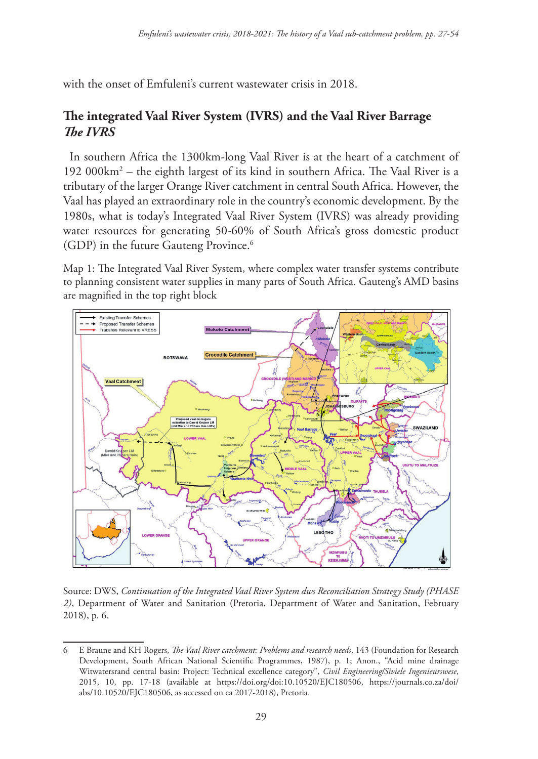with the onset of Emfuleni's current wastewater crisis in 2018.

## **The integrated Vaal River System (IVRS) and the Vaal River Barrage** *The IVRS*

In southern Africa the 1300km-long Vaal River is at the heart of a catchment of 192 000km<sup>2</sup> – the eighth largest of its kind in southern Africa. The Vaal River is a tributary of the larger Orange River catchment in central South Africa. However, the Vaal has played an extraordinary role in the country's economic development. By the 1980s, what is today's Integrated Vaal River System (IVRS) was already providing water resources for generating 50-60% of South Africa's gross domestic product (GDP) in the future Gauteng Province.<sup>6</sup>

Map 1: The Integrated Vaal River System, where complex water transfer systems contribute to planning consistent water supplies in many parts of South Africa. Gauteng's AMD basins are magnified in the top right block



Source: DWS, *Continuation of the Integrated Vaal River System dws Reconciliation Strategy Study (PHASE 2)*, Department of Water and Sanitation (Pretoria, Department of Water and Sanitation, February 2018), p. 6.

E Braune and KH Rogers, *The Vaal River catchment: Problems and research needs*, 143 (Foundation for Research Development, South African National Scientific Programmes, 1987), p. 1; Anon., "Acid mine drainage Witwatersrand central basin: Project: Technical excellence category", *Civil Engineering/Siviele Ingenieurswese*, 2015, 10, pp. 17-18 (available at https://doi.org/doi:10.10520/EJC180506, https://journals.co.za/doi/ abs/10.10520/EJC180506, as accessed on ca 2017-2018), Pretoria.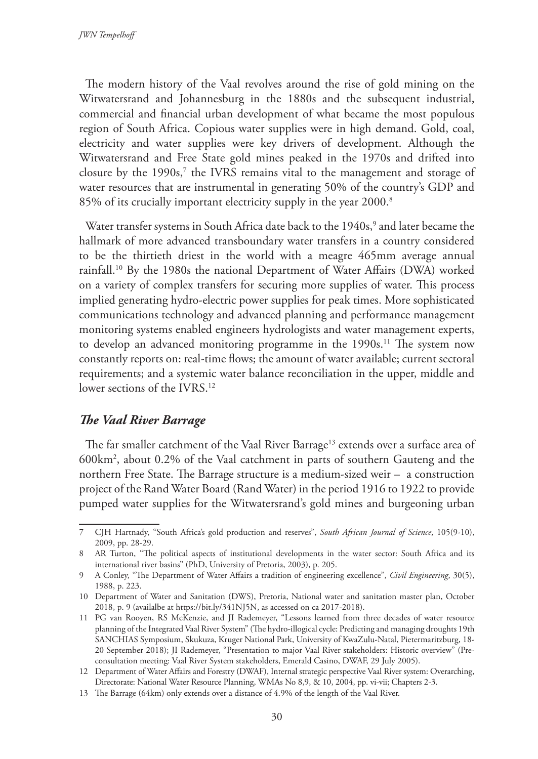The modern history of the Vaal revolves around the rise of gold mining on the Witwatersrand and Johannesburg in the 1880s and the subsequent industrial, commercial and financial urban development of what became the most populous region of South Africa. Copious water supplies were in high demand. Gold, coal, electricity and water supplies were key drivers of development. Although the Witwatersrand and Free State gold mines peaked in the 1970s and drifted into closure by the  $1990s$ , the IVRS remains vital to the management and storage of water resources that are instrumental in generating 50% of the country's GDP and 85% of its crucially important electricity supply in the year 2000.<sup>8</sup>

Water transfer systems in South Africa date back to the 1940s,<sup>9</sup> and later became the hallmark of more advanced transboundary water transfers in a country considered to be the thirtieth driest in the world with a meagre 465mm average annual rainfall.10 By the 1980s the national Department of Water Affairs (DWA) worked on a variety of complex transfers for securing more supplies of water. This process implied generating hydro-electric power supplies for peak times. More sophisticated communications technology and advanced planning and performance management monitoring systems enabled engineers hydrologists and water management experts, to develop an advanced monitoring programme in the 1990s.<sup>11</sup> The system now constantly reports on: real-time flows; the amount of water available; current sectoral requirements; and a systemic water balance reconciliation in the upper, middle and lower sections of the IVRS.12

#### *The Vaal River Barrage*

The far smaller catchment of the Vaal River Barrage<sup>13</sup> extends over a surface area of 600km2 , about 0.2% of the Vaal catchment in parts of southern Gauteng and the northern Free State. The Barrage structure is a medium-sized weir – a construction project of the Rand Water Board (Rand Water) in the period 1916 to 1922 to provide pumped water supplies for the Witwatersrand's gold mines and burgeoning urban

<sup>7</sup> CJH Hartnady, "South Africa's gold production and reserves", *South African Journal of Science*, 105(9-10), 2009, pp. 28-29.

<sup>8</sup> AR Turton, "The political aspects of institutional developments in the water sector: South Africa and its international river basins" (PhD, University of Pretoria, 2003), p. 205.

<sup>9</sup> A Conley, "The Department of Water Affairs a tradition of engineering excellence", *Civil Engineering*, 30(5), 1988, p. 223.

<sup>10</sup> Department of Water and Sanitation (DWS), Pretoria, National water and sanitation master plan, October 2018, p. 9 (availalbe at https://bit.ly/341NJ5N, as accessed on ca 2017-2018).

<sup>11</sup> PG van Rooyen, RS McKenzie, and JI Rademeyer, "Lessons learned from three decades of water resource planning of the Integrated Vaal River System" (The hydro-illogical cycle: Predicting and managing droughts 19th SANCHIAS Symposium, Skukuza, Kruger National Park, University of KwaZulu-Natal, Pietermaritzburg, 18- 20 September 2018); JI Rademeyer, "Presentation to major Vaal River stakeholders: Historic overview" (Preconsultation meeting: Vaal River System stakeholders, Emerald Casino, DWAF, 29 July 2005).

<sup>12</sup> Department of Water Affairs and Forestry (DWAF), Internal strategic perspective Vaal River system: Overarching, Directorate: National Water Resource Planning, WMAs No 8,9, & 10, 2004, pp. vi-vii; Chapters 2-3.

<sup>13</sup> The Barrage (64km) only extends over a distance of 4.9% of the length of the Vaal River.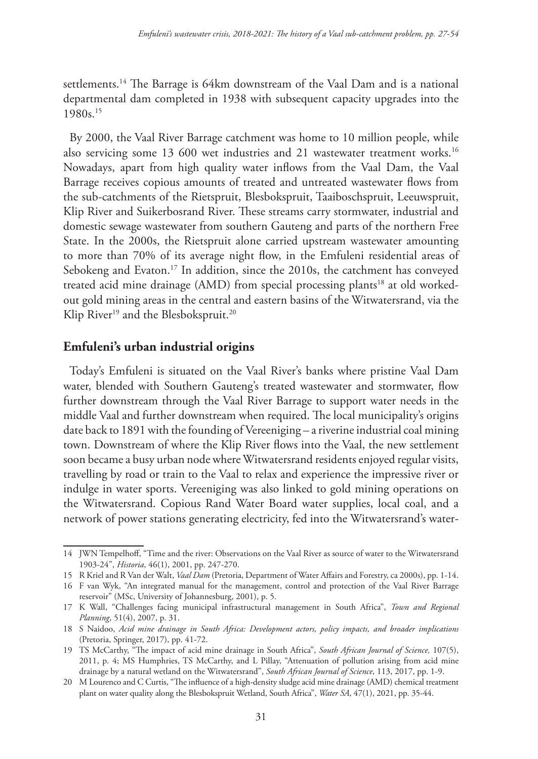settlements.<sup>14</sup> The Barrage is 64km downstream of the Vaal Dam and is a national departmental dam completed in 1938 with subsequent capacity upgrades into the 1980s.15

By 2000, the Vaal River Barrage catchment was home to 10 million people, while also servicing some 13 600 wet industries and 21 wastewater treatment works.<sup>16</sup> Nowadays, apart from high quality water inflows from the Vaal Dam, the Vaal Barrage receives copious amounts of treated and untreated wastewater flows from the sub-catchments of the Rietspruit, Blesbokspruit, Taaiboschspruit, Leeuwspruit, Klip River and Suikerbosrand River. These streams carry stormwater, industrial and domestic sewage wastewater from southern Gauteng and parts of the northern Free State. In the 2000s, the Rietspruit alone carried upstream wastewater amounting to more than 70% of its average night flow, in the Emfuleni residential areas of Sebokeng and Evaton.<sup>17</sup> In addition, since the 2010s, the catchment has conveyed treated acid mine drainage (AMD) from special processing plants<sup>18</sup> at old workedout gold mining areas in the central and eastern basins of the Witwatersrand, via the Klip River<sup>19</sup> and the Blesbokspruit.<sup>20</sup>

#### **Emfuleni's urban industrial origins**

Today's Emfuleni is situated on the Vaal River's banks where pristine Vaal Dam water, blended with Southern Gauteng's treated wastewater and stormwater, flow further downstream through the Vaal River Barrage to support water needs in the middle Vaal and further downstream when required. The local municipality's origins date back to 1891 with the founding of Vereeniging – a riverine industrial coal mining town. Downstream of where the Klip River flows into the Vaal, the new settlement soon became a busy urban node where Witwatersrand residents enjoyed regular visits, travelling by road or train to the Vaal to relax and experience the impressive river or indulge in water sports. Vereeniging was also linked to gold mining operations on the Witwatersrand. Copious Rand Water Board water supplies, local coal, and a network of power stations generating electricity, fed into the Witwatersrand's water-

<sup>14</sup> JWN Tempelhoff, "Time and the river: Observations on the Vaal River as source of water to the Witwatersrand 1903-24", *Historia*, 46(1), 2001, pp. 247-270.

<sup>15</sup> R Kriel and R Van der Walt, *Vaal Dam* (Pretoria, Department of Water Affairs and Forestry, ca 2000s), pp. 1-14.

<sup>16</sup> F van Wyk, "An integrated manual for the management, control and protection of the Vaal River Barrage reservoir" (MSc, University of Johannesburg, 2001), p. 5.

<sup>17</sup> K Wall, "Challenges facing municipal infrastructural management in South Africa", *Town and Regional Planning*, 51(4), 2007, p. 31.

<sup>18</sup> S Naidoo, *Acid mine drainage in South Africa: Development actors, policy impacts, and broader implications* (Pretoria, Springer, 2017), pp. 41-72.

<sup>19</sup> TS McCarthy, "The impact of acid mine drainage in South Africa", *South African Journal of Science,* 107(5), 2011, p. 4; MS Humphries, TS McCarthy, and L Pillay, "Attenuation of pollution arising from acid mine drainage by a natural wetland on the Witwatersrand", *South African Journal of Science*, 113, 2017, pp. 1-9.

<sup>20</sup> M Lourenco and C Curtis, "The influence of a high-density sludge acid mine drainage (AMD) chemical treatment plant on water quality along the Blesbokspruit Wetland, South Africa", *Water SA*, 47(1), 2021, pp. 35-44.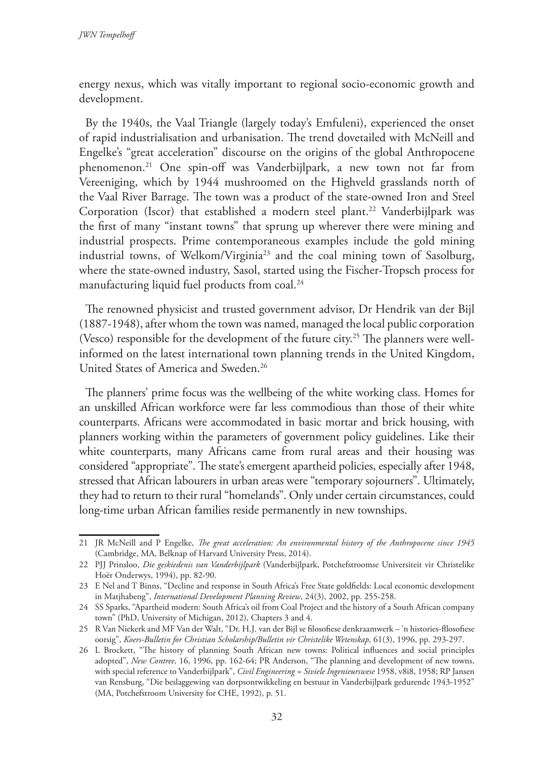energy nexus, which was vitally important to regional socio-economic growth and development.

By the 1940s, the Vaal Triangle (largely today's Emfuleni), experienced the onset of rapid industrialisation and urbanisation. The trend dovetailed with McNeill and Engelke's "great acceleration" discourse on the origins of the global Anthropocene phenomenon.21 One spin-off was Vanderbijlpark, a new town not far from Vereeniging, which by 1944 mushroomed on the Highveld grasslands north of the Vaal River Barrage. The town was a product of the state-owned Iron and Steel Corporation (Iscor) that established a modern steel plant.<sup>22</sup> Vanderbijlpark was the first of many "instant towns" that sprung up wherever there were mining and industrial prospects. Prime contemporaneous examples include the gold mining industrial towns, of Welkom/Virginia<sup>23</sup> and the coal mining town of Sasolburg, where the state-owned industry, Sasol, started using the Fischer-Tropsch process for manufacturing liquid fuel products from coal.<sup>24</sup>

The renowned physicist and trusted government advisor, Dr Hendrik van der Bijl (1887-1948), after whom the town was named, managed the local public corporation (Vesco) responsible for the development of the future city.<sup>25</sup> The planners were wellinformed on the latest international town planning trends in the United Kingdom, United States of America and Sweden.<sup>26</sup>

The planners' prime focus was the wellbeing of the white working class. Homes for an unskilled African workforce were far less commodious than those of their white counterparts. Africans were accommodated in basic mortar and brick housing, with planners working within the parameters of government policy guidelines. Like their white counterparts, many Africans came from rural areas and their housing was considered "appropriate". The state's emergent apartheid policies, especially after 1948, stressed that African labourers in urban areas were "temporary sojourners". Ultimately, they had to return to their rural "homelands". Only under certain circumstances, could long-time urban African families reside permanently in new townships.

<sup>21</sup> JR McNeill and P Engelke, *The great acceleration: An environmental history of the Anthropocene since 1945* (Cambridge, MA, Belknap of Harvard University Press, 2014).

<sup>22</sup> PJJ Prinsloo, *Die geskiedenis van Vanderbijlpark* (Vanderbijlpark, Potchefstroomse Universiteit vir Christelike Hoër Onderwys, 1994), pp. 82-90.

<sup>23</sup> E Nel and T Binns, "Decline and response in South Africa's Free State goldfields: Local economic development in Matjhabeng", *International Development Planning Review*, 24(3), 2002, pp. 255-258.

<sup>24</sup> SS Sparks, "Apartheid modern: South Africa's oil from Coal Project and the history of a South African company town" (PhD, University of Michigan, 2012), Chapters 3 and 4.

<sup>25</sup> R Van Niekerk and MF Van der Walt, "Dr. H.J. van der Bijl se filosofiese denkraamwerk – 'n histories-fllosofiese oorsig", *Koers-Bulletin for Christian Scholarship/Bulletin vir Christelike Wetenskap,* 61(3), 1996, pp. 293-297.

<sup>26</sup> L Brockett, "The history of planning South African new towns: Political influences and social principles adopted", *New Contree,* 16, 1996, pp. 162-64; PR Anderson, "The planning and development of new towns, with special reference to Vanderbijlpark", *Civil Engineering = Siviele Ingenieurswese* 1958, v8i8, 1958; RP Jansen van Rensburg, "Die beslaggewing van dorpsontwikkeling en bestuur in Vanderbijlpark gedurende 1943-1952" (MA, Potchefstroom University for CHE, 1992), p. 51.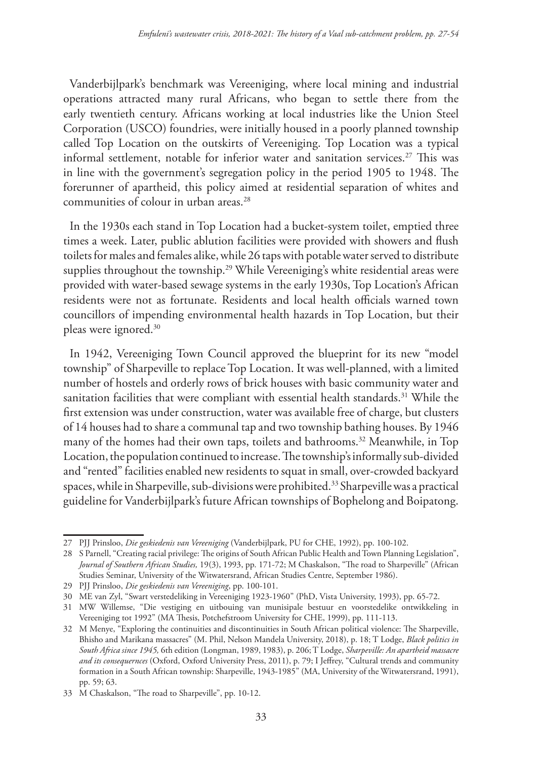Vanderbijlpark's benchmark was Vereeniging, where local mining and industrial operations attracted many rural Africans, who began to settle there from the early twentieth century. Africans working at local industries like the Union Steel Corporation (USCO) foundries, were initially housed in a poorly planned township called Top Location on the outskirts of Vereeniging. Top Location was a typical informal settlement, notable for inferior water and sanitation services.<sup>27</sup> This was in line with the government's segregation policy in the period 1905 to 1948. The forerunner of apartheid, this policy aimed at residential separation of whites and communities of colour in urban areas.28

In the 1930s each stand in Top Location had a bucket-system toilet, emptied three times a week. Later, public ablution facilities were provided with showers and flush toilets for males and females alike, while 26 taps with potable water served to distribute supplies throughout the township.<sup>29</sup> While Vereeniging's white residential areas were provided with water-based sewage systems in the early 1930s, Top Location's African residents were not as fortunate. Residents and local health officials warned town councillors of impending environmental health hazards in Top Location, but their pleas were ignored.30

In 1942, Vereeniging Town Council approved the blueprint for its new "model township" of Sharpeville to replace Top Location. It was well-planned, with a limited number of hostels and orderly rows of brick houses with basic community water and sanitation facilities that were compliant with essential health standards.<sup>31</sup> While the first extension was under construction, water was available free of charge, but clusters of 14 houses had to share a communal tap and two township bathing houses. By 1946 many of the homes had their own taps, toilets and bathrooms.<sup>32</sup> Meanwhile, in Top Location, the population continued to increase. The township's informally sub-divided and "rented" facilities enabled new residents to squat in small, over-crowded backyard spaces, while in Sharpeville, sub-divisions were prohibited.<sup>33</sup> Sharpeville was a practical guideline for Vanderbijlpark's future African townships of Bophelong and Boipatong.

<sup>27</sup> PJJ Prinsloo, *Die geskiedenis van Vereeniging* (Vanderbijlpark, PU for CHE, 1992), pp. 100-102.

<sup>28</sup> S Parnell, "Creating racial privilege: The origins of South African Public Health and Town Planning Legislation", *Journal of Southern African Studies,* 19(3), 1993, pp. 171-72; M Chaskalson, "The road to Sharpeville" (African Studies Seminar, University of the Witwatersrand, African Studies Centre, September 1986).

<sup>29</sup> PJJ Prinsloo, *Die geskiedenis van Vereeniging*, pp. 100-101.

<sup>30</sup> ME van Zyl, "Swart verstedeliking in Vereeniging 1923-1960" (PhD, Vista University, 1993), pp. 65-72.

<sup>31</sup> MW Willemse, "Die vestiging en uitbouing van munisipale bestuur en voorstedelike ontwikkeling in Vereeniging tot 1992" (MA Thesis, Potchefstroom University for CHE, 1999), pp. 111-113.

<sup>32</sup> M Menye, "Exploring the continuities and discontinuities in South African political violence: The Sharpeville, Bhisho and Marikana massacres" (M. Phil, Nelson Mandela University, 2018), p. 18; T Lodge, *Black politics in South Africa since 1945,* 6th edition (Longman, 1989, 1983), p. 206; T Lodge, *Sharpeville: An apartheid massacre and its consequernces* (Oxford, Oxford University Press, 2011), p. 79; I Jeffrey, "Cultural trends and community formation in a South African township: Sharpeville, 1943-1985" (MA, University of the Witwatersrand, 1991), pp. 59; 63.

<sup>33</sup> M Chaskalson, "The road to Sharpeville", pp. 10-12.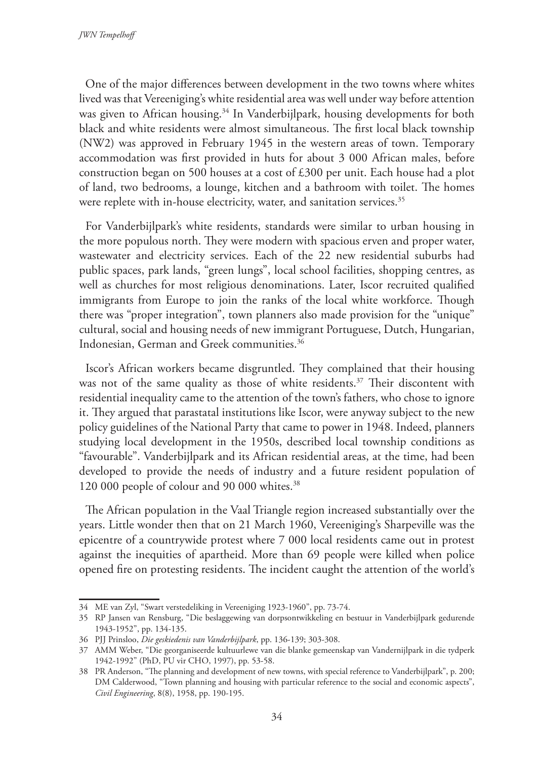One of the major differences between development in the two towns where whites lived was that Vereeniging's white residential area was well under way before attention was given to African housing.<sup>34</sup> In Vanderbijlpark, housing developments for both black and white residents were almost simultaneous. The first local black township (NW2) was approved in February 1945 in the western areas of town. Temporary accommodation was first provided in huts for about 3 000 African males, before construction began on 500 houses at a cost of £300 per unit. Each house had a plot of land, two bedrooms, a lounge, kitchen and a bathroom with toilet. The homes were replete with in-house electricity, water, and sanitation services.<sup>35</sup>

For Vanderbijlpark's white residents, standards were similar to urban housing in the more populous north. They were modern with spacious erven and proper water, wastewater and electricity services. Each of the 22 new residential suburbs had public spaces, park lands, "green lungs", local school facilities, shopping centres, as well as churches for most religious denominations. Later, Iscor recruited qualified immigrants from Europe to join the ranks of the local white workforce. Though there was "proper integration", town planners also made provision for the "unique" cultural, social and housing needs of new immigrant Portuguese, Dutch, Hungarian, Indonesian, German and Greek communities.36

Iscor's African workers became disgruntled. They complained that their housing was not of the same quality as those of white residents.<sup>37</sup> Their discontent with residential inequality came to the attention of the town's fathers, who chose to ignore it. They argued that parastatal institutions like Iscor, were anyway subject to the new policy guidelines of the National Party that came to power in 1948. Indeed, planners studying local development in the 1950s, described local township conditions as "favourable". Vanderbijlpark and its African residential areas, at the time, had been developed to provide the needs of industry and a future resident population of 120 000 people of colour and 90 000 whites.38

The African population in the Vaal Triangle region increased substantially over the years. Little wonder then that on 21 March 1960, Vereeniging's Sharpeville was the epicentre of a countrywide protest where 7 000 local residents came out in protest against the inequities of apartheid. More than 69 people were killed when police opened fire on protesting residents. The incident caught the attention of the world's

<sup>34</sup> ME van Zyl, "Swart verstedeliking in Vereeniging 1923-1960", pp. 73-74.

<sup>35</sup> RP Jansen van Rensburg, "Die beslaggewing van dorpsontwikkeling en bestuur in Vanderbijlpark gedurende 1943-1952", pp. 134-135.

<sup>36</sup> PJJ Prinsloo, *Die geskiedenis van Vanderbijlpark*, pp. 136-139; 303-308.

<sup>37</sup> AMM Weber, "Die georganiseerde kultuurlewe van die blanke gemeenskap van Vandernijlpark in die tydperk 1942-1992" (PhD, PU vir CHO, 1997), pp. 53-58.

<sup>38</sup> PR Anderson, "The planning and development of new towns, with special reference to Vanderbijlpark", p. 200; DM Calderwood, "Town planning and housing with particular reference to the social and economic aspects", *Civil Engineering*, 8(8), 1958, pp. 190-195.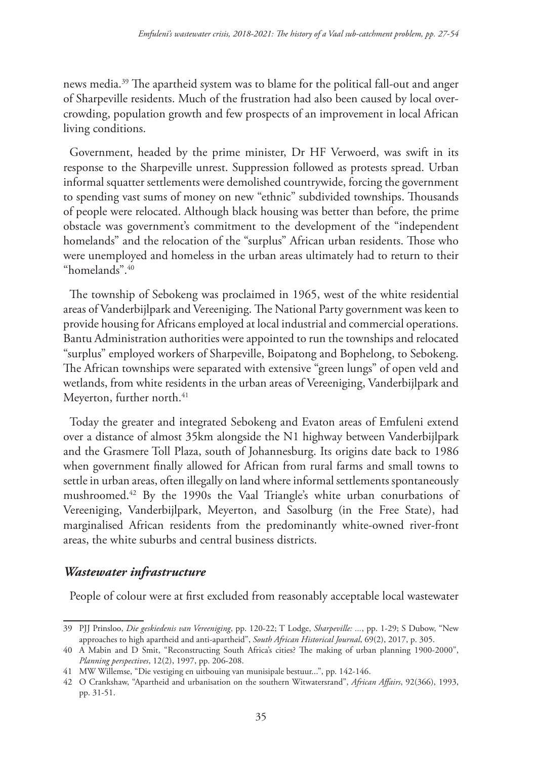news media.39 The apartheid system was to blame for the political fall-out and anger of Sharpeville residents. Much of the frustration had also been caused by local overcrowding, population growth and few prospects of an improvement in local African living conditions.

Government, headed by the prime minister, Dr HF Verwoerd, was swift in its response to the Sharpeville unrest. Suppression followed as protests spread. Urban informal squatter settlements were demolished countrywide, forcing the government to spending vast sums of money on new "ethnic" subdivided townships. Thousands of people were relocated. Although black housing was better than before, the prime obstacle was government's commitment to the development of the "independent homelands" and the relocation of the "surplus" African urban residents. Those who were unemployed and homeless in the urban areas ultimately had to return to their "homelands".40

The township of Sebokeng was proclaimed in 1965, west of the white residential areas of Vanderbijlpark and Vereeniging. The National Party government was keen to provide housing for Africans employed at local industrial and commercial operations. Bantu Administration authorities were appointed to run the townships and relocated "surplus" employed workers of Sharpeville, Boipatong and Bophelong, to Sebokeng. The African townships were separated with extensive "green lungs" of open veld and wetlands, from white residents in the urban areas of Vereeniging, Vanderbijlpark and Meyerton, further north.<sup>41</sup>

Today the greater and integrated Sebokeng and Evaton areas of Emfuleni extend over a distance of almost 35km alongside the N1 highway between Vanderbijlpark and the Grasmere Toll Plaza, south of Johannesburg. Its origins date back to 1986 when government finally allowed for African from rural farms and small towns to settle in urban areas, often illegally on land where informal settlements spontaneously mushroomed.42 By the 1990s the Vaal Triangle's white urban conurbations of Vereeniging, Vanderbijlpark, Meyerton, and Sasolburg (in the Free State), had marginalised African residents from the predominantly white-owned river-front areas, the white suburbs and central business districts.

## *Wastewater infrastructure*

People of colour were at first excluded from reasonably acceptable local wastewater

<sup>39</sup> PJJ Prinsloo, *Die geskiedenis van Vereeniging*, pp. 120-22; T Lodge, *Sharpeville: ...*, pp. 1-29; S Dubow, "New approaches to high apartheid and anti-apartheid", *South African Historical Journal*, 69(2), 2017, p. 305.

<sup>40</sup> A Mabin and D Smit, "Reconstructing South Africa's cities? The making of urban planning 1900-2000", *Planning perspectives*, 12(2), 1997, pp. 206-208.

<sup>41</sup> MW Willemse, "Die vestiging en uitbouing van munisipale bestuur...", pp. 142-146.

<sup>42</sup> O Crankshaw, "Apartheid and urbanisation on the southern Witwatersrand", *African Affairs*, 92(366), 1993, pp. 31-51.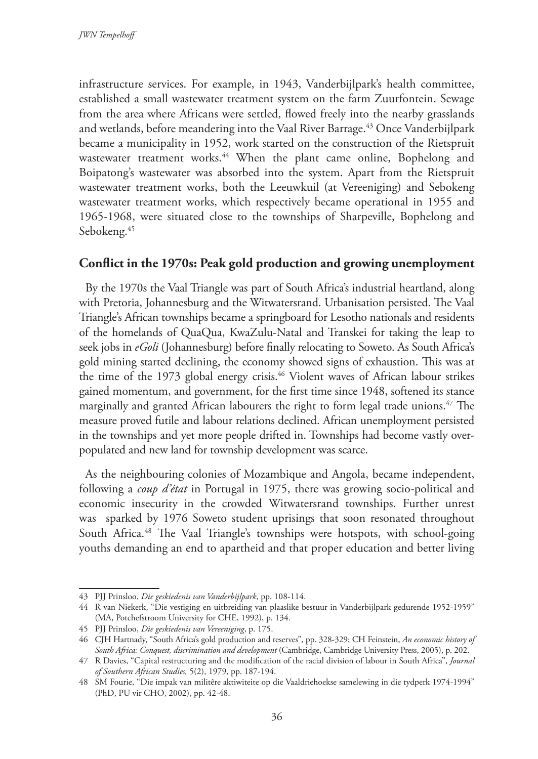infrastructure services. For example, in 1943, Vanderbijlpark's health committee, established a small wastewater treatment system on the farm Zuurfontein. Sewage from the area where Africans were settled, flowed freely into the nearby grasslands and wetlands, before meandering into the Vaal River Barrage.<sup>43</sup> Once Vanderbijlpark became a municipality in 1952, work started on the construction of the Rietspruit wastewater treatment works.<sup>44</sup> When the plant came online, Bophelong and Boipatong's wastewater was absorbed into the system. Apart from the Rietspruit wastewater treatment works, both the Leeuwkuil (at Vereeniging) and Sebokeng wastewater treatment works, which respectively became operational in 1955 and 1965-1968, were situated close to the townships of Sharpeville, Bophelong and Sebokeng.45

### **Conflict in the 1970s: Peak gold production and growing unemployment**

By the 1970s the Vaal Triangle was part of South Africa's industrial heartland, along with Pretoria, Johannesburg and the Witwatersrand. Urbanisation persisted. The Vaal Triangle's African townships became a springboard for Lesotho nationals and residents of the homelands of QuaQua, KwaZulu-Natal and Transkei for taking the leap to seek jobs in *eGoli* (Johannesburg) before finally relocating to Soweto. As South Africa's gold mining started declining, the economy showed signs of exhaustion. This was at the time of the 1973 global energy crisis.<sup>46</sup> Violent waves of African labour strikes gained momentum, and government, for the first time since 1948, softened its stance marginally and granted African labourers the right to form legal trade unions.<sup>47</sup> The measure proved futile and labour relations declined. African unemployment persisted in the townships and yet more people drifted in. Townships had become vastly overpopulated and new land for township development was scarce.

As the neighbouring colonies of Mozambique and Angola, became independent, following a *coup d'état* in Portugal in 1975, there was growing socio-political and economic insecurity in the crowded Witwatersrand townships. Further unrest was sparked by 1976 Soweto student uprisings that soon resonated throughout South Africa.<sup>48</sup> The Vaal Triangle's townships were hotspots, with school-going youths demanding an end to apartheid and that proper education and better living

<sup>43</sup> PJJ Prinsloo, *Die geskiedenis van Vanderbijlpark*, pp. 108-114.

<sup>44</sup> R van Niekerk, "Die vestiging en uitbreiding van plaaslike bestuur in Vanderbijlpark gedurende 1952-1959" (MA, Potchefstroom University for CHE, 1992), p. 134.

<sup>45</sup> PJJ Prinsloo, *Die geskiedenis van Vereeniging*, p. 175.

<sup>46</sup> CJH Hartnady, "South Africa's gold production and reserves", pp. 328-329; CH Feinstein, *An economic history of South Africa: Conquest, discrimination and development* (Cambridge, Cambridge University Press, 2005), p. 202.

<sup>47</sup> R Davies, "Capital restructuring and the modification of the racial division of labour in South Africa", *Journal of Southern African Studies,* 5(2), 1979, pp. 187-194.

<sup>48</sup> SM Fourie, "Die impak van militêre aktiwiteite op die Vaaldriehoekse samelewing in die tydperk 1974-1994" (PhD, PU vir CHO, 2002), pp. 42-48.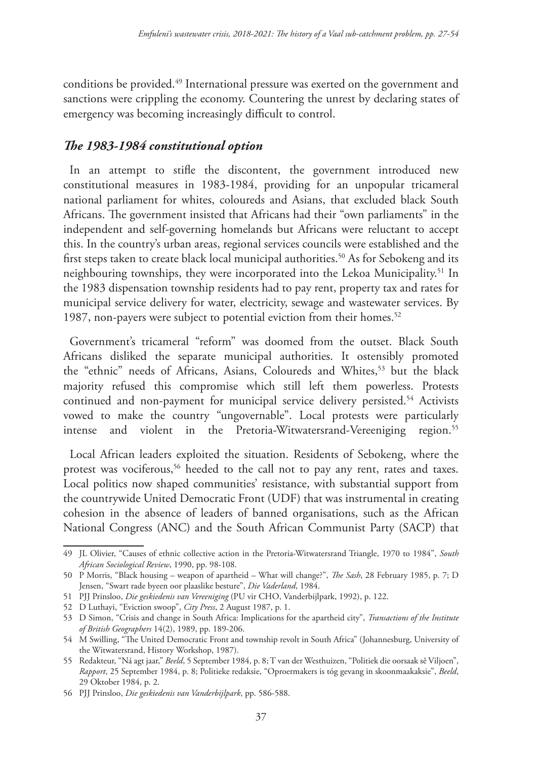conditions be provided.49 International pressure was exerted on the government and sanctions were crippling the economy. Countering the unrest by declaring states of emergency was becoming increasingly difficult to control.

## *The 1983-1984 constitutional option*

In an attempt to stifle the discontent, the government introduced new constitutional measures in 1983-1984, providing for an unpopular tricameral national parliament for whites, coloureds and Asians, that excluded black South Africans. The government insisted that Africans had their "own parliaments" in the independent and self-governing homelands but Africans were reluctant to accept this. In the country's urban areas, regional services councils were established and the first steps taken to create black local municipal authorities.<sup>50</sup> As for Sebokeng and its neighbouring townships, they were incorporated into the Lekoa Municipality.<sup>51</sup> In the 1983 dispensation township residents had to pay rent, property tax and rates for municipal service delivery for water, electricity, sewage and wastewater services. By 1987, non-payers were subject to potential eviction from their homes.<sup>52</sup>

Government's tricameral "reform" was doomed from the outset. Black South Africans disliked the separate municipal authorities. It ostensibly promoted the "ethnic" needs of Africans, Asians, Coloureds and Whites,<sup>53</sup> but the black majority refused this compromise which still left them powerless. Protests continued and non-payment for municipal service delivery persisted.<sup>54</sup> Activists vowed to make the country "ungovernable". Local protests were particularly intense and violent in the Pretoria-Witwatersrand-Vereeniging region.<sup>55</sup>

Local African leaders exploited the situation. Residents of Sebokeng, where the protest was vociferous,<sup>56</sup> heeded to the call not to pay any rent, rates and taxes. Local politics now shaped communities' resistance, with substantial support from the countrywide United Democratic Front (UDF) that was instrumental in creating cohesion in the absence of leaders of banned organisations, such as the African National Congress (ANC) and the South African Communist Party (SACP) that

<sup>49</sup> JL Olivier, "Causes of ethnic collective action in the Pretoria-Witwatersrand Triangle, 1970 to 1984", *South African Sociological Review*, 1990, pp. 98-108.

<sup>50</sup> P Morris, "Black housing – weapon of apartheid – What will change?", *The Sash*, 28 February 1985, p. 7; D Jensen, "Swart rade byeen oor plaaslike besture", *Die Vaderland*, 1984.

<sup>51</sup> PJJ Prinsloo, *Die geskiedenis van Vereeniging* (PU vir CHO, Vanderbijlpark, 1992), p. 122.

<sup>52</sup> D Luthayi, "Eviction swoop", *City Press*, 2 August 1987, p. 1.

<sup>53</sup> D Simon, "Crisis and change in South Africa: Implications for the apartheid city", *Transactions of the Institute of British Geographers* 14(2), 1989, pp. 189-206.

<sup>54</sup> M Swilling, "The United Democratic Front and township revolt in South Africa" (Johannesburg, University of the Witwatersrand, History Workshop, 1987).

<sup>55</sup> Redakteur, "Ná agt jaar," *Beeld*, 5 September 1984, p. 8; T van der Westhuizen, "Politiek die oorsaak sê Viljoen", *Rapport*, 25 September 1984, p. 8; Politieke redaksie, "Oproermakers is tóg gevang in skoonmaakaksie", *Beeld*, 29 Oktober 1984, p. 2.

<sup>56</sup> PJJ Prinsloo, *Die geskiedenis van Vanderbijlpark*, pp. 586-588.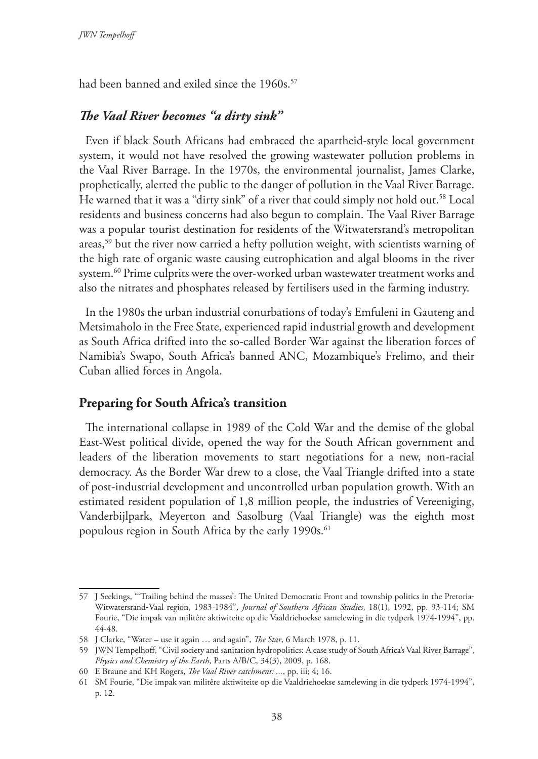had been banned and exiled since the 1960s.<sup>57</sup>

## *The Vaal River becomes "a dirty sink"*

Even if black South Africans had embraced the apartheid-style local government system, it would not have resolved the growing wastewater pollution problems in the Vaal River Barrage. In the 1970s, the environmental journalist, James Clarke, prophetically, alerted the public to the danger of pollution in the Vaal River Barrage. He warned that it was a "dirty sink" of a river that could simply not hold out.58 Local residents and business concerns had also begun to complain. The Vaal River Barrage was a popular tourist destination for residents of the Witwatersrand's metropolitan areas,59 but the river now carried a hefty pollution weight, with scientists warning of the high rate of organic waste causing eutrophication and algal blooms in the river system.60 Prime culprits were the over-worked urban wastewater treatment works and also the nitrates and phosphates released by fertilisers used in the farming industry.

In the 1980s the urban industrial conurbations of today's Emfuleni in Gauteng and Metsimaholo in the Free State, experienced rapid industrial growth and development as South Africa drifted into the so-called Border War against the liberation forces of Namibia's Swapo, South Africa's banned ANC, Mozambique's Frelimo, and their Cuban allied forces in Angola.

#### **Preparing for South Africa's transition**

The international collapse in 1989 of the Cold War and the demise of the global East-West political divide, opened the way for the South African government and leaders of the liberation movements to start negotiations for a new, non-racial democracy. As the Border War drew to a close, the Vaal Triangle drifted into a state of post-industrial development and uncontrolled urban population growth. With an estimated resident population of 1,8 million people, the industries of Vereeniging, Vanderbijlpark, Meyerton and Sasolburg (Vaal Triangle) was the eighth most populous region in South Africa by the early 1990s.<sup>61</sup>

<sup>57</sup> J Seekings, "Trailing behind the masses': The United Democratic Front and township politics in the Pretoria-Witwatersrand‐Vaal region, 1983-1984", *Journal of Southern African Studies*, 18(1), 1992, pp. 93-114; SM Fourie, "Die impak van militêre aktiwiteite op die Vaaldriehoekse samelewing in die tydperk 1974-1994", pp. 44-48.

<sup>58</sup> J Clarke, "Water – use it again … and again", *The Star*, 6 March 1978, p. 11.

<sup>59</sup> JWN Tempelhoff, "Civil society and sanitation hydropolitics: A case study of South Africa's Vaal River Barrage", *Physics and Chemistry of the Earth,* Parts A/B/C, 34(3), 2009, p. 168.

<sup>60</sup> E Braune and KH Rogers, *The Vaal River catchment: ...*, pp. iii; 4; 16.

<sup>61</sup> SM Fourie, "Die impak van militêre aktiwiteite op die Vaaldriehoekse samelewing in die tydperk 1974-1994", p. 12.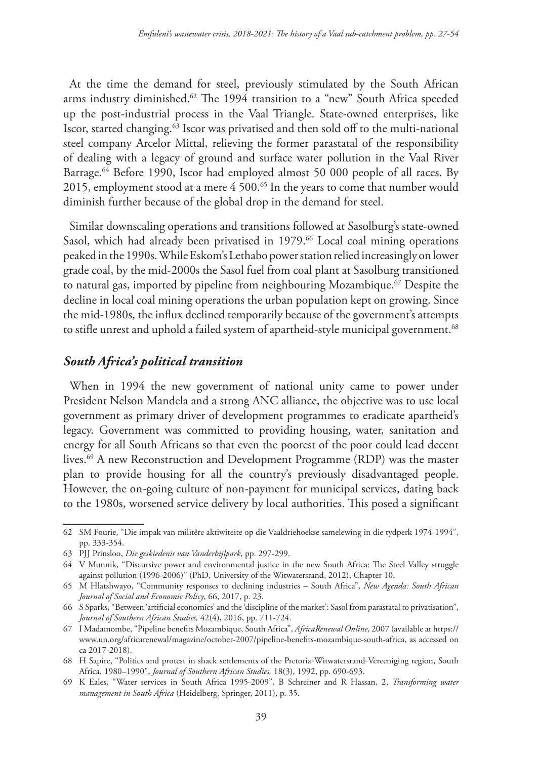At the time the demand for steel, previously stimulated by the South African arms industry diminished.62 The 1994 transition to a "new" South Africa speeded up the post-industrial process in the Vaal Triangle. State-owned enterprises, like Iscor, started changing.63 Iscor was privatised and then sold off to the multi-national steel company Arcelor Mittal, relieving the former parastatal of the responsibility of dealing with a legacy of ground and surface water pollution in the Vaal River Barrage.<sup>64</sup> Before 1990, Iscor had employed almost 50 000 people of all races. By 2015, employment stood at a mere 4 500.65 In the years to come that number would diminish further because of the global drop in the demand for steel.

Similar downscaling operations and transitions followed at Sasolburg's state-owned Sasol, which had already been privatised in 1979.<sup>66</sup> Local coal mining operations peaked in the 1990s. While Eskom's Lethabo power station relied increasingly on lower grade coal, by the mid-2000s the Sasol fuel from coal plant at Sasolburg transitioned to natural gas, imported by pipeline from neighbouring Mozambique.<sup>67</sup> Despite the decline in local coal mining operations the urban population kept on growing. Since the mid-1980s, the influx declined temporarily because of the government's attempts to stifle unrest and uphold a failed system of apartheid-style municipal government.<sup>68</sup>

### *South Africa's political transition*

When in 1994 the new government of national unity came to power under President Nelson Mandela and a strong ANC alliance, the objective was to use local government as primary driver of development programmes to eradicate apartheid's legacy. Government was committed to providing housing, water, sanitation and energy for all South Africans so that even the poorest of the poor could lead decent lives.69 A new Reconstruction and Development Programme (RDP) was the master plan to provide housing for all the country's previously disadvantaged people. However, the on-going culture of non-payment for municipal services, dating back to the 1980s, worsened service delivery by local authorities. This posed a significant

<sup>62</sup> SM Fourie, "Die impak van militêre aktiwiteite op die Vaaldriehoekse samelewing in die tydperk 1974-1994", pp. 333-354.

<sup>63</sup> PJJ Prinsloo, *Die geskiedenis van Vanderbijlpark*, pp. 297-299.

<sup>64</sup> V Munnik, "Discursive power and environmental justice in the new South Africa: The Steel Valley struggle against pollution (1996-2006)" (PhD, University of the Witwatersrand, 2012), Chapter 10.

<sup>65</sup> M Hlatshwayo, "Community responses to declining industries – South Africa", *New Agenda: South African Journal of Social and Economic Policy*, 66, 2017, p. 23.

<sup>66</sup> S Sparks, "Between 'artificial economics' and the 'discipline of the market': Sasol from parastatal to privatisation", *Journal of Southern African Studies,* 42(4), 2016, pp. 711-724.

<sup>67</sup> I Madamombe, "Pipeline benefits Mozambique, South Africa", *AfricaRenewal Online*, 2007 (available at https:// www.un.org/africarenewal/magazine/october-2007/pipeline-benefits-mozambique-south-africa, as accessed on ca 2017-2018).

<sup>68</sup> H Sapire, "Politics and protest in shack settlements of the Pretoria‐Witwatersrand‐Vereeniging region, South Africa, 1980–1990", *Journal of Southern African Studies,* 18(3), 1992, pp. 690-693.

<sup>69</sup> K Eales, "Water services in South Africa 1995-2009", B Schreiner and R Hassan, 2, *Transforming water management in South Africa* (Heidelberg, Springer, 2011), p. 35.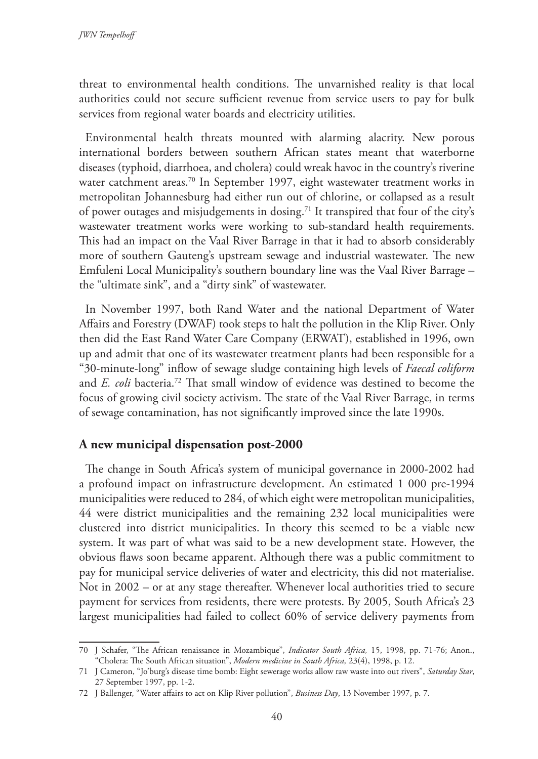threat to environmental health conditions. The unvarnished reality is that local authorities could not secure sufficient revenue from service users to pay for bulk services from regional water boards and electricity utilities.

Environmental health threats mounted with alarming alacrity. New porous international borders between southern African states meant that waterborne diseases (typhoid, diarrhoea, and cholera) could wreak havoc in the country's riverine water catchment areas.<sup>70</sup> In September 1997, eight wastewater treatment works in metropolitan Johannesburg had either run out of chlorine, or collapsed as a result of power outages and misjudgements in dosing.<sup>71</sup> It transpired that four of the city's wastewater treatment works were working to sub-standard health requirements. This had an impact on the Vaal River Barrage in that it had to absorb considerably more of southern Gauteng's upstream sewage and industrial wastewater. The new Emfuleni Local Municipality's southern boundary line was the Vaal River Barrage – the "ultimate sink", and a "dirty sink" of wastewater.

In November 1997, both Rand Water and the national Department of Water Affairs and Forestry (DWAF) took steps to halt the pollution in the Klip River. Only then did the East Rand Water Care Company (ERWAT), established in 1996, own up and admit that one of its wastewater treatment plants had been responsible for a "30-minute-long" inflow of sewage sludge containing high levels of *Faecal coliform* and *E. coli* bacteria.72 That small window of evidence was destined to become the focus of growing civil society activism. The state of the Vaal River Barrage, in terms of sewage contamination, has not significantly improved since the late 1990s.

#### **A new municipal dispensation post-2000**

The change in South Africa's system of municipal governance in 2000-2002 had a profound impact on infrastructure development. An estimated 1 000 pre-1994 municipalities were reduced to 284, of which eight were metropolitan municipalities, 44 were district municipalities and the remaining 232 local municipalities were clustered into district municipalities. In theory this seemed to be a viable new system. It was part of what was said to be a new development state. However, the obvious flaws soon became apparent. Although there was a public commitment to pay for municipal service deliveries of water and electricity, this did not materialise. Not in 2002 – or at any stage thereafter. Whenever local authorities tried to secure payment for services from residents, there were protests. By 2005, South Africa's 23 largest municipalities had failed to collect 60% of service delivery payments from

<sup>70</sup> J Schafer, "The African renaissance in Mozambique", *Indicator South Africa,* 15, 1998, pp. 71-76; Anon., "Cholera: The South African situation", *Modern medicine in South Africa,* 23(4), 1998, p. 12.

<sup>71</sup> J Cameron, "Jo'burg's disease time bomb: Eight sewerage works allow raw waste into out rivers", *Saturday Star*, 27 September 1997, pp. 1-2.

<sup>72</sup> J Ballenger, "Water affairs to act on Klip River pollution", *Business Day*, 13 November 1997, p. 7.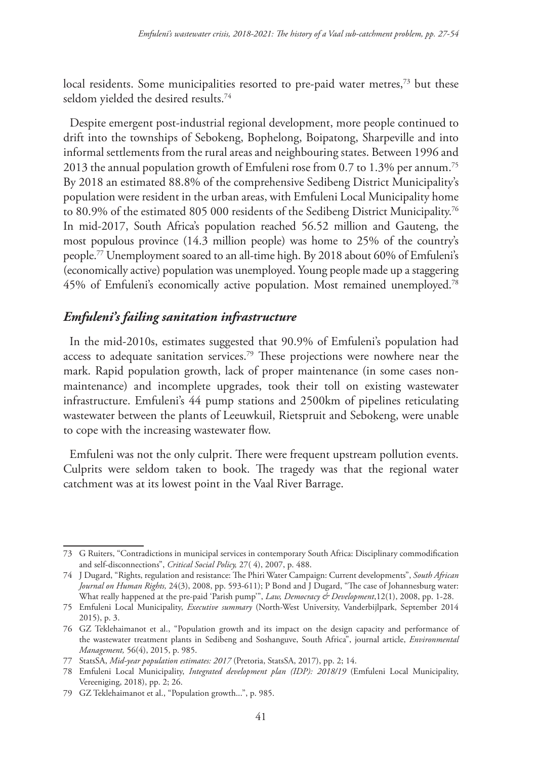local residents. Some municipalities resorted to pre-paid water metres,<sup>73</sup> but these seldom yielded the desired results.74

Despite emergent post-industrial regional development, more people continued to drift into the townships of Sebokeng, Bophelong, Boipatong, Sharpeville and into informal settlements from the rural areas and neighbouring states. Between 1996 and 2013 the annual population growth of Emfuleni rose from 0.7 to 1.3% per annum.75 By 2018 an estimated 88.8% of the comprehensive Sedibeng District Municipality's population were resident in the urban areas, with Emfuleni Local Municipality home to 80.9% of the estimated 805 000 residents of the Sedibeng District Municipality.<sup>76</sup> In mid-2017, South Africa's population reached 56.52 million and Gauteng, the most populous province (14.3 million people) was home to 25% of the country's people.77 Unemployment soared to an all-time high. By 2018 about 60% of Emfuleni's (economically active) population was unemployed. Young people made up a staggering 45% of Emfuleni's economically active population. Most remained unemployed.78

### *Emfuleni's failing sanitation infrastructure*

In the mid-2010s, estimates suggested that 90.9% of Emfuleni's population had access to adequate sanitation services.79 These projections were nowhere near the mark. Rapid population growth, lack of proper maintenance (in some cases nonmaintenance) and incomplete upgrades, took their toll on existing wastewater infrastructure. Emfuleni's 44 pump stations and 2500km of pipelines reticulating wastewater between the plants of Leeuwkuil, Rietspruit and Sebokeng, were unable to cope with the increasing wastewater flow.

Emfuleni was not the only culprit. There were frequent upstream pollution events. Culprits were seldom taken to book. The tragedy was that the regional water catchment was at its lowest point in the Vaal River Barrage.

<sup>73</sup> G Ruiters, "Contradictions in municipal services in contemporary South Africa: Disciplinary commodification and self-disconnections", *Critical Social Policy,* 27( 4), 2007, p. 488.

<sup>74</sup> J Dugard, "Rights, regulation and resistance: The Phiri Water Campaign: Current developments", *South African Journal on Human Rights,* 24(3), 2008, pp. 593-611); P Bond and J Dugard, "The case of Johannesburg water: What really happened at the pre-paid 'Parish pump'", *Law, Democracy & Development*,12(1), 2008, pp. 1-28.

<sup>75</sup> Emfuleni Local Municipality, *Executive summary* (North-West University, Vanderbijlpark, September 2014 2015), p. 3.

<sup>76</sup> GZ Teklehaimanot et al., "Population growth and its impact on the design capacity and performance of the wastewater treatment plants in Sedibeng and Soshanguve, South Africa", journal article, *Environmental Management,* 56(4), 2015, p. 985.

<sup>77</sup> StatsSA, *Mid-year population estimates: 2017* (Pretoria, StatsSA, 2017), pp. 2; 14.

<sup>78</sup> Emfuleni Local Municipality, *Integrated development plan (IDP): 2018/19* (Emfuleni Local Municipality, Vereeniging, 2018), pp. 2; 26.

<sup>79</sup> GZ Teklehaimanot et al., "Population growth...", p. 985.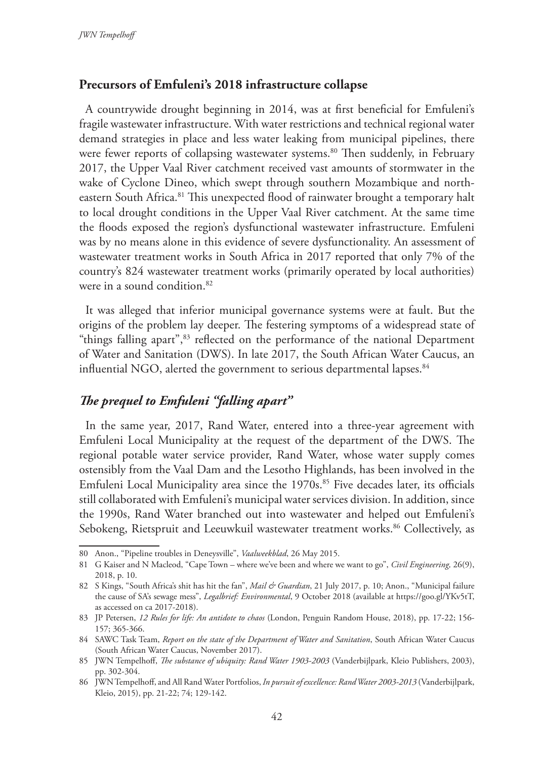#### **Precursors of Emfuleni's 2018 infrastructure collapse**

A countrywide drought beginning in 2014, was at first beneficial for Emfuleni's fragile wastewater infrastructure. With water restrictions and technical regional water demand strategies in place and less water leaking from municipal pipelines, there were fewer reports of collapsing wastewater systems.<sup>80</sup> Then suddenly, in February 2017, the Upper Vaal River catchment received vast amounts of stormwater in the wake of Cyclone Dineo, which swept through southern Mozambique and northeastern South Africa.<sup>81</sup> This unexpected flood of rainwater brought a temporary halt to local drought conditions in the Upper Vaal River catchment. At the same time the floods exposed the region's dysfunctional wastewater infrastructure. Emfuleni was by no means alone in this evidence of severe dysfunctionality. An assessment of wastewater treatment works in South Africa in 2017 reported that only 7% of the country's 824 wastewater treatment works (primarily operated by local authorities) were in a sound condition.82

It was alleged that inferior municipal governance systems were at fault. But the origins of the problem lay deeper. The festering symptoms of a widespread state of "things falling apart",<sup>83</sup> reflected on the performance of the national Department of Water and Sanitation (DWS). In late 2017, the South African Water Caucus, an influential NGO, alerted the government to serious departmental lapses.<sup>84</sup>

### *The prequel to Emfuleni "falling apart"*

In the same year, 2017, Rand Water, entered into a three-year agreement with Emfuleni Local Municipality at the request of the department of the DWS. The regional potable water service provider, Rand Water, whose water supply comes ostensibly from the Vaal Dam and the Lesotho Highlands, has been involved in the Emfuleni Local Municipality area since the 1970s.<sup>85</sup> Five decades later, its officials still collaborated with Emfuleni's municipal water services division. In addition, since the 1990s, Rand Water branched out into wastewater and helped out Emfuleni's Sebokeng, Rietspruit and Leeuwkuil wastewater treatment works.<sup>86</sup> Collectively, as

<sup>80</sup> Anon., "Pipeline troubles in Deneysville", *Vaalweekblad*, 26 May 2015.

<sup>81</sup> G Kaiser and N Macleod, "Cape Town – where we've been and where we want to go", *Civil Engineering,* 26(9), 2018, p. 10.

<sup>82</sup> S Kings, "South Africa's shit has hit the fan", *Mail & Guardian*, 21 July 2017, p. 10; Anon., "Municipal failure the cause of SA's sewage mess", *Legalbrief: Environmental*, 9 October 2018 (available at https://goo.gl/YKv5tT, as accessed on ca 2017-2018).

<sup>83</sup> JP Petersen, *12 Rules for life: An antidote to chaos* (London, Penguin Random House, 2018), pp. 17-22; 156- 157; 365-366.

<sup>84</sup> SAWC Task Team, *Report on the state of the Department of Water and Sanitation*, South African Water Caucus (South African Water Caucus, November 2017).

<sup>85</sup> JWN Tempelhoff, *The substance of ubiquity: Rand Water 1903-2003* (Vanderbijlpark, Kleio Publishers, 2003), pp. 302-304.

<sup>86</sup> JWN Tempelhoff, and All Rand Water Portfolios, *In pursuit of excellence: Rand Water 2003-2013* (Vanderbijlpark, Kleio, 2015), pp. 21-22; 74; 129-142.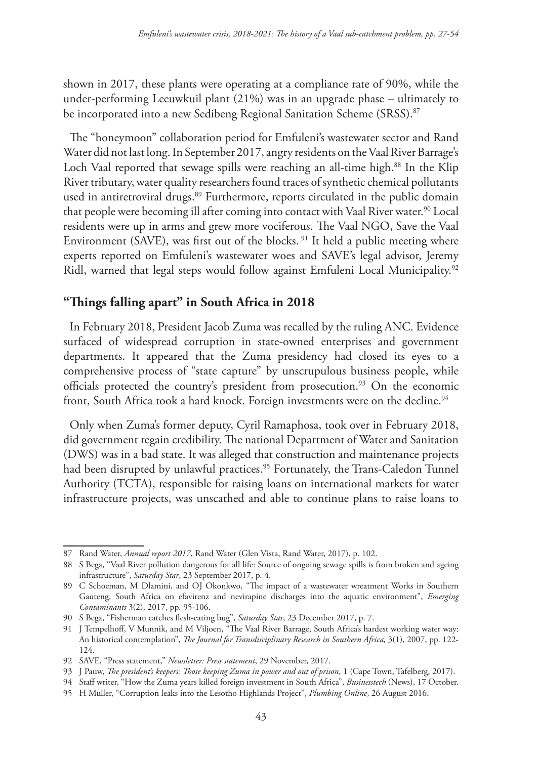shown in 2017, these plants were operating at a compliance rate of 90%, while the under-performing Leeuwkuil plant (21%) was in an upgrade phase – ultimately to be incorporated into a new Sedibeng Regional Sanitation Scheme (SRSS).<sup>87</sup>

The "honeymoon" collaboration period for Emfuleni's wastewater sector and Rand Water did not last long. In September 2017, angry residents on the Vaal River Barrage's Loch Vaal reported that sewage spills were reaching an all-time high.<sup>88</sup> In the Klip River tributary, water quality researchers found traces of synthetic chemical pollutants used in antiretroviral drugs.<sup>89</sup> Furthermore, reports circulated in the public domain that people were becoming ill after coming into contact with Vaal River water.<sup>90</sup> Local residents were up in arms and grew more vociferous. The Vaal NGO, Save the Vaal Environment (SAVE), was first out of the blocks.<sup>91</sup> It held a public meeting where experts reported on Emfuleni's wastewater woes and SAVE's legal advisor, Jeremy Ridl, warned that legal steps would follow against Emfuleni Local Municipality.<sup>92</sup>

### **"Things falling apart" in South Africa in 2018**

In February 2018, President Jacob Zuma was recalled by the ruling ANC. Evidence surfaced of widespread corruption in state-owned enterprises and government departments. It appeared that the Zuma presidency had closed its eyes to a comprehensive process of "state capture" by unscrupulous business people, while officials protected the country's president from prosecution.<sup>93</sup> On the economic front, South Africa took a hard knock. Foreign investments were on the decline.<sup>94</sup>

Only when Zuma's former deputy, Cyril Ramaphosa, took over in February 2018, did government regain credibility. The national Department of Water and Sanitation (DWS) was in a bad state. It was alleged that construction and maintenance projects had been disrupted by unlawful practices.<sup>95</sup> Fortunately, the Trans-Caledon Tunnel Authority (TCTA), responsible for raising loans on international markets for water infrastructure projects, was unscathed and able to continue plans to raise loans to

<sup>87</sup> Rand Water, *Annual report 2017*, Rand Water (Glen Vista, Rand Water, 2017), p. 102.

<sup>88</sup> S Bega, "Vaal River pollution dangerous for all life: Source of ongoing sewage spills is from broken and ageing infrastructure", *Saturday Star*, 23 September 2017, p. 4.

<sup>89</sup> C Schoeman, M Dlamini, and OJ Okonkwo, "The impact of a wastewater wreatment Works in Southern Gauteng, South Africa on efavirenz and nevirapine discharges into the aquatic environment", *Emerging Contaminants* 3(2), 2017, pp. 95-106.

<sup>90</sup> S Bega, "Fisherman catches flesh-eating bug", *Saturday Star*, 23 December 2017, p. 7.

<sup>91</sup> J Tempelhoff, V Munnik, and M Viljoen, "The Vaal River Barrage, South Africa's hardest working water way: An historical contemplation", *The Journal for Transdisciplinary Research in Southern Africa,* 3(1), 2007, pp. 122- 124.

<sup>92</sup> SAVE, "Press statement," *Newsletter: Press statement*, 29 November, 2017.

<sup>93</sup> J Pauw, *The president's keepers: Those keeping Zuma in power and out of prison*, 1 (Cape Town, Tafelberg, 2017).

<sup>94</sup> Staff writer, "How the Zuma years killed foreign investment in South Africa", *Businesstech* (News), 17 October.

<sup>95</sup> H Muller, "Corruption leaks into the Lesotho Highlands Project", *Plumbing Online*, 26 August 2016.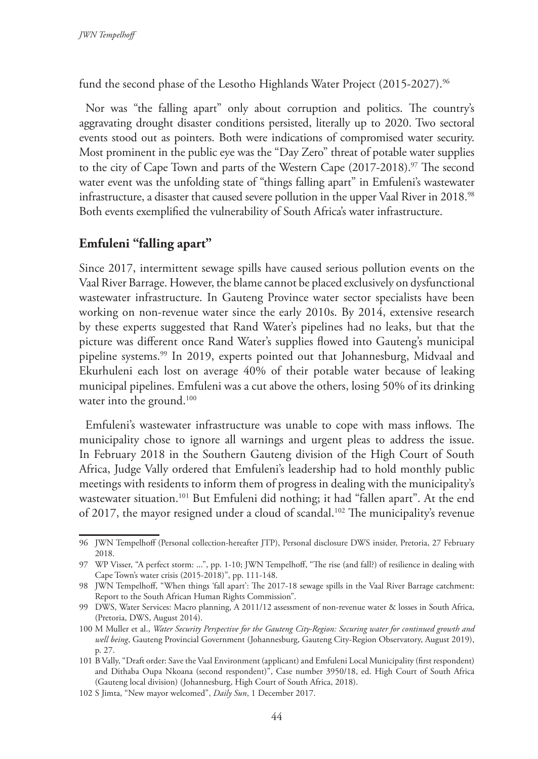fund the second phase of the Lesotho Highlands Water Project (2015-2027).<sup>96</sup>

Nor was "the falling apart" only about corruption and politics. The country's aggravating drought disaster conditions persisted, literally up to 2020. Two sectoral events stood out as pointers. Both were indications of compromised water security. Most prominent in the public eye was the "Day Zero" threat of potable water supplies to the city of Cape Town and parts of the Western Cape  $(2017-2018).$ <sup>97</sup> The second water event was the unfolding state of "things falling apart" in Emfuleni's wastewater infrastructure, a disaster that caused severe pollution in the upper Vaal River in 2018.<sup>98</sup> Both events exemplified the vulnerability of South Africa's water infrastructure.

### **Emfuleni "falling apart"**

Since 2017, intermittent sewage spills have caused serious pollution events on the Vaal River Barrage. However, the blame cannot be placed exclusively on dysfunctional wastewater infrastructure. In Gauteng Province water sector specialists have been working on non-revenue water since the early 2010s. By 2014, extensive research by these experts suggested that Rand Water's pipelines had no leaks, but that the picture was different once Rand Water's supplies flowed into Gauteng's municipal pipeline systems.99 In 2019, experts pointed out that Johannesburg, Midvaal and Ekurhuleni each lost on average 40% of their potable water because of leaking municipal pipelines. Emfuleni was a cut above the others, losing 50% of its drinking water into the ground.<sup>100</sup>

Emfuleni's wastewater infrastructure was unable to cope with mass inflows. The municipality chose to ignore all warnings and urgent pleas to address the issue. In February 2018 in the Southern Gauteng division of the High Court of South Africa, Judge Vally ordered that Emfuleni's leadership had to hold monthly public meetings with residents to inform them of progress in dealing with the municipality's wastewater situation.<sup>101</sup> But Emfuleni did nothing; it had "fallen apart". At the end of 2017, the mayor resigned under a cloud of scandal.<sup>102</sup> The municipality's revenue

<sup>96</sup> JWN Tempelhoff (Personal collection-hereafter JTP), Personal disclosure DWS insider, Pretoria, 27 February 2018.

<sup>97</sup> WP Visser, "A perfect storm: ...", pp. 1-10; JWN Tempelhoff, "The rise (and fall?) of resilience in dealing with Cape Town's water crisis (2015-2018)", pp. 111-148.

<sup>98</sup> JWN Tempelhoff, "When things 'fall apart': The 2017-18 sewage spills in the Vaal River Barrage catchment: Report to the South African Human Rights Commission".

<sup>99</sup> DWS, Water Services: Macro planning, A 2011/12 assessment of non-revenue water & losses in South Africa, (Pretoria, DWS, August 2014).

<sup>100</sup> M Muller et al., *Water Security Perspective for the Gauteng City-Region: Securing water for continued growth and well being*, Gauteng Provincial Government (Johannesburg, Gauteng City-Region Observatory, August 2019), p. 27.

<sup>101</sup> B Vally, "Draft order: Save the Vaal Environment (applicant) and Emfuleni Local Municipality (first respondent) and Dithaba Oupa Nkoana (second respondent)", Case number 3950/18, ed. High Court of South Africa (Gauteng local division) (Johannesburg, High Court of South Africa, 2018).

<sup>102</sup> S Jimta, "New mayor welcomed", *Daily Sun*, 1 December 2017.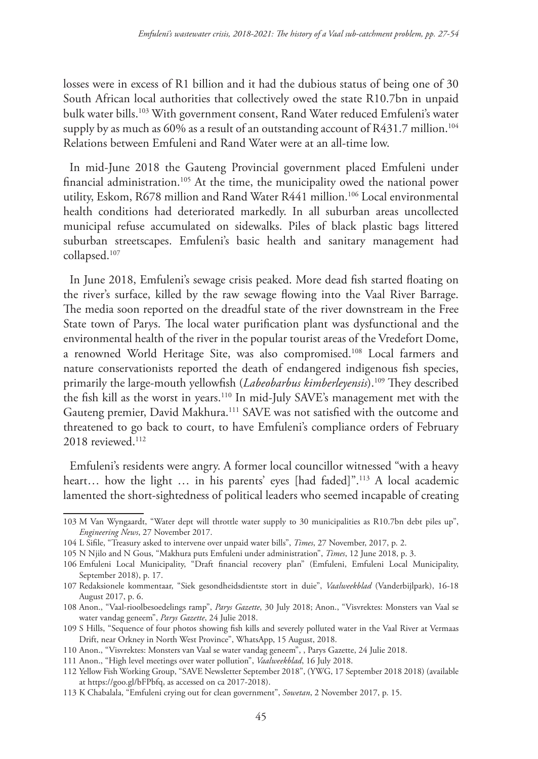losses were in excess of R1 billion and it had the dubious status of being one of 30 South African local authorities that collectively owed the state R10.7bn in unpaid bulk water bills.103 With government consent, Rand Water reduced Emfuleni's water supply by as much as 60% as a result of an outstanding account of R431.7 million.<sup>104</sup> Relations between Emfuleni and Rand Water were at an all-time low.

In mid-June 2018 the Gauteng Provincial government placed Emfuleni under financial administration.105 At the time, the municipality owed the national power utility, Eskom, R678 million and Rand Water R441 million.106 Local environmental health conditions had deteriorated markedly. In all suburban areas uncollected municipal refuse accumulated on sidewalks. Piles of black plastic bags littered suburban streetscapes. Emfuleni's basic health and sanitary management had collapsed.107

In June 2018, Emfuleni's sewage crisis peaked. More dead fish started floating on the river's surface, killed by the raw sewage flowing into the Vaal River Barrage. The media soon reported on the dreadful state of the river downstream in the Free State town of Parys. The local water purification plant was dysfunctional and the environmental health of the river in the popular tourist areas of the Vredefort Dome, a renowned World Heritage Site, was also compromised.108 Local farmers and nature conservationists reported the death of endangered indigenous fish species, primarily the large-mouth yellowfish (*Labeobarbus kimberleyensis*).109 They described the fish kill as the worst in years.110 In mid-July SAVE's management met with the Gauteng premier, David Makhura.111 SAVE was not satisfied with the outcome and threatened to go back to court, to have Emfuleni's compliance orders of February 2018 reviewed.<sup>112</sup>

Emfuleni's residents were angry. A former local councillor witnessed "with a heavy heart... how the light ... in his parents' eyes [had faded]".<sup>113</sup> A local academic lamented the short-sightedness of political leaders who seemed incapable of creating

<sup>103</sup> M Van Wyngaardt, "Water dept will throttle water supply to 30 municipalities as R10.7bn debt piles up", *Engineering News*, 27 November 2017.

<sup>104</sup> L Sifile, "Treasury asked to intervene over unpaid water bills", *Times*, 27 November, 2017, p. 2.

<sup>105</sup> N Njilo and N Gous, "Makhura puts Emfuleni under administration", *Times*, 12 June 2018, p. 3.

<sup>106</sup> Emfuleni Local Municipality, "Draft financial recovery plan" (Emfuleni, Emfuleni Local Municipality, September 2018), p. 17.

<sup>107</sup> Redaksionele kommentaar, "Siek gesondheidsdientste stort in duie", *Vaalweekblad* (Vanderbijlpark), 16-18 August 2017, p. 6.

<sup>108</sup> Anon., "Vaal-rioolbesoedelings ramp", *Parys Gazette*, 30 July 2018; Anon., "Visvrektes: Monsters van Vaal se water vandag geneem", *Parys Gazette*, 24 Julie 2018.

<sup>109</sup> S Hills, "Sequence of four photos showing fish kills and severely polluted water in the Vaal River at Vermaas Drift, near Orkney in North West Province", WhatsApp, 15 August, 2018.

<sup>110</sup> Anon., "Visvrektes: Monsters van Vaal se water vandag geneem", , Parys Gazette, 24 Julie 2018.

<sup>111</sup> Anon., "High level meetings over water pollution", *Vaalweekblad*, 16 July 2018.

<sup>112</sup> Yellow Fish Working Group, "SAVE Newsletter September 2018", (YWG, 17 September 2018 2018) (available at https://goo.gl/bFPbfq, as accessed on ca 2017-2018).

<sup>113</sup> K Chabalala, "Emfuleni crying out for clean government", *Sowetan*, 2 November 2017, p. 15.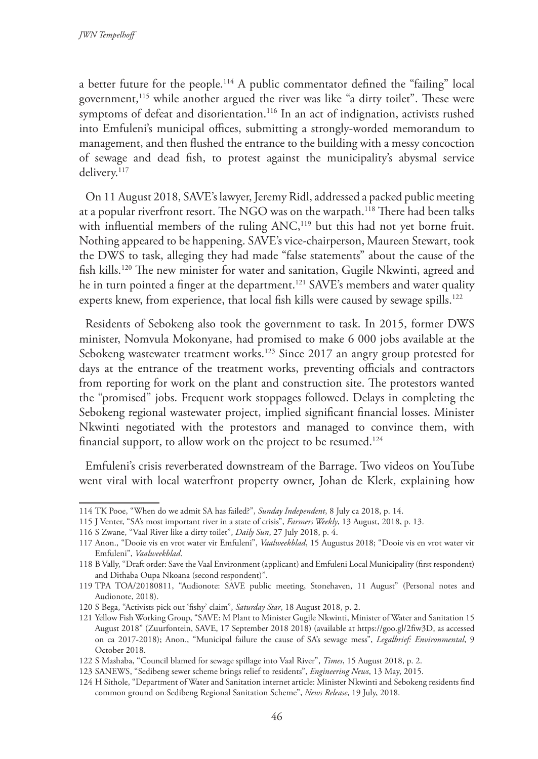a better future for the people.114 A public commentator defined the "failing" local government,115 while another argued the river was like "a dirty toilet". These were symptoms of defeat and disorientation.<sup>116</sup> In an act of indignation, activists rushed into Emfuleni's municipal offices, submitting a strongly-worded memorandum to management, and then flushed the entrance to the building with a messy concoction of sewage and dead fish, to protest against the municipality's abysmal service delivery.<sup>117</sup>

On 11 August 2018, SAVE's lawyer, Jeremy Ridl, addressed a packed public meeting at a popular riverfront resort. The NGO was on the warpath.<sup>118</sup> There had been talks with influential members of the ruling ANC,<sup>119</sup> but this had not yet borne fruit. Nothing appeared to be happening. SAVE's vice-chairperson, Maureen Stewart, took the DWS to task, alleging they had made "false statements" about the cause of the fish kills.120 The new minister for water and sanitation, Gugile Nkwinti, agreed and he in turn pointed a finger at the department.<sup>121</sup> SAVE's members and water quality experts knew, from experience, that local fish kills were caused by sewage spills.<sup>122</sup>

Residents of Sebokeng also took the government to task. In 2015, former DWS minister, Nomvula Mokonyane, had promised to make 6 000 jobs available at the Sebokeng wastewater treatment works.<sup>123</sup> Since 2017 an angry group protested for days at the entrance of the treatment works, preventing officials and contractors from reporting for work on the plant and construction site. The protestors wanted the "promised" jobs. Frequent work stoppages followed. Delays in completing the Sebokeng regional wastewater project, implied significant financial losses. Minister Nkwinti negotiated with the protestors and managed to convince them, with financial support, to allow work on the project to be resumed.124

Emfuleni's crisis reverberated downstream of the Barrage. Two videos on YouTube went viral with local waterfront property owner, Johan de Klerk, explaining how

<sup>114</sup> TK Pooe, "When do we admit SA has failed?", *Sunday Independent*, 8 July ca 2018, p. 14.

<sup>115</sup> J Venter, "SA's most important river in a state of crisis", *Farmers Weekly*, 13 August, 2018, p. 13.

<sup>116</sup> S Zwane, "Vaal River like a dirty toilet", *Daily Sun*, 27 July 2018, p. 4.

<sup>117</sup> Anon., "Dooie vis en vrot water vir Emfuleni", *Vaalweekblad*, 15 Augustus 2018; "Dooie vis en vrot water vir Emfuleni", *Vaalweekblad*.

<sup>118</sup> B Vally, "Draft order: Save the Vaal Environment (applicant) and Emfuleni Local Municipality (first respondent) and Dithaba Oupa Nkoana (second respondent)".

<sup>119</sup> TPA TOA/20180811, "Audionote: SAVE public meeting, Stonehaven, 11 August" (Personal notes and Audionote, 2018).

<sup>120</sup> S Bega, "Activists pick out 'fishy' claim", *Saturday Star*, 18 August 2018, p. 2.

<sup>121</sup> Yellow Fish Working Group, "SAVE: M Plant to Minister Gugile Nkwinti, Minister of Water and Sanitation 15 August 2018" (Zuurfontein, SAVE, 17 September 2018 2018) (available at https://goo.gl/2fiw3D, as accessed on ca 2017-2018); Anon., "Municipal failure the cause of SA's sewage mess", *Legalbrief: Environmental*, 9 October 2018.

<sup>122</sup> S Mashaba, "Council blamed for sewage spillage into Vaal River", *Times*, 15 August 2018, p. 2.

<sup>123</sup> SANEWS, "Sedibeng sewer scheme brings relief to residents", *Engineering News*, 13 May, 2015.

<sup>124</sup> H Sithole, "Department of Water and Sanitation internet article: Minister Nkwinti and Sebokeng residents find common ground on Sedibeng Regional Sanitation Scheme", *News Release*, 19 July, 2018.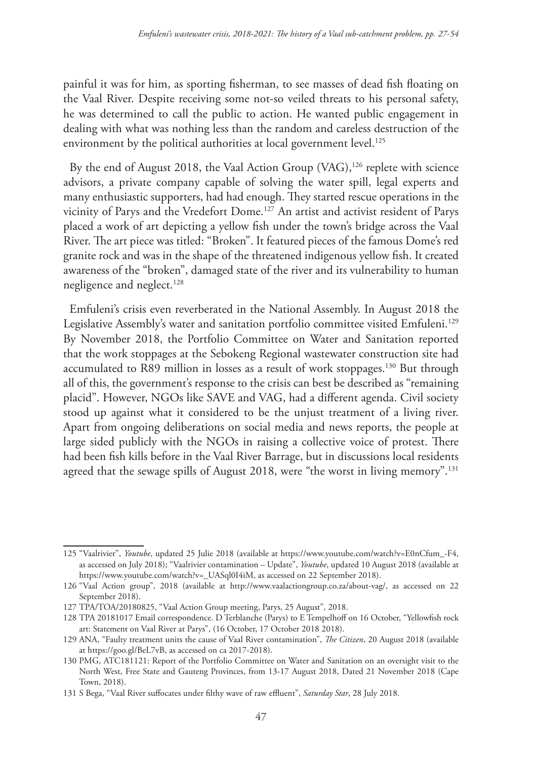painful it was for him, as sporting fisherman, to see masses of dead fish floating on the Vaal River. Despite receiving some not-so veiled threats to his personal safety, he was determined to call the public to action. He wanted public engagement in dealing with what was nothing less than the random and careless destruction of the environment by the political authorities at local government level.<sup>125</sup>

By the end of August 2018, the Vaal Action Group (VAG),<sup>126</sup> replete with science advisors, a private company capable of solving the water spill, legal experts and many enthusiastic supporters, had had enough. They started rescue operations in the vicinity of Parys and the Vredefort Dome.127 An artist and activist resident of Parys placed a work of art depicting a yellow fish under the town's bridge across the Vaal River. The art piece was titled: "Broken". It featured pieces of the famous Dome's red granite rock and was in the shape of the threatened indigenous yellow fish. It created awareness of the "broken", damaged state of the river and its vulnerability to human negligence and neglect.<sup>128</sup>

Emfuleni's crisis even reverberated in the National Assembly. In August 2018 the Legislative Assembly's water and sanitation portfolio committee visited Emfuleni.<sup>129</sup> By November 2018, the Portfolio Committee on Water and Sanitation reported that the work stoppages at the Sebokeng Regional wastewater construction site had accumulated to R89 million in losses as a result of work stoppages.<sup>130</sup> But through all of this, the government's response to the crisis can best be described as "remaining placid". However, NGOs like SAVE and VAG, had a different agenda. Civil society stood up against what it considered to be the unjust treatment of a living river. Apart from ongoing deliberations on social media and news reports, the people at large sided publicly with the NGOs in raising a collective voice of protest. There had been fish kills before in the Vaal River Barrage, but in discussions local residents agreed that the sewage spills of August 2018, were "the worst in living memory".<sup>131</sup>

<sup>125</sup> "Vaalrivier", *Youtube*, updated 25 Julie 2018 (available at https://www.youtube.com/watch?v=E0nCfum\_-F4, as accessed on July 2018); "Vaalrivier contamination – Update", *Youtube*, updated 10 August 2018 (available at https://www.youtube.com/watch?v=\_UASql0I4iM, as accessed on 22 September 2018).

<sup>126</sup> "Vaal Action group", 2018 (available at http://www.vaalactiongroup.co.za/about-vag/, as accessed on 22 September 2018).

<sup>127</sup> TPA/TOA/20180825, "Vaal Action Group meeting, Parys, 25 August", 2018.

<sup>128</sup> TPA 20181017 Email correspondence. D Terblanche (Parys) to E Tempelhoff on 16 October, "Yellowfish rock art: Statement on Vaal River at Parys", (16 October, 17 October 2018 2018).

<sup>129</sup> ANA, "Faulty treatment units the cause of Vaal River contamination", *The Citizen*, 20 August 2018 (available at https://goo.gl/BeL7vB, as accessed on ca 2017-2018).

<sup>130</sup> PMG, ATC181121: Report of the Portfolio Committee on Water and Sanitation on an oversight visit to the North West, Free State and Gauteng Provinces, from 13-17 August 2018, Dated 21 November 2018 (Cape Town, 2018).

<sup>131</sup> S Bega, "Vaal River suffocates under filthy wave of raw effluent", *Saturday Star*, 28 July 2018.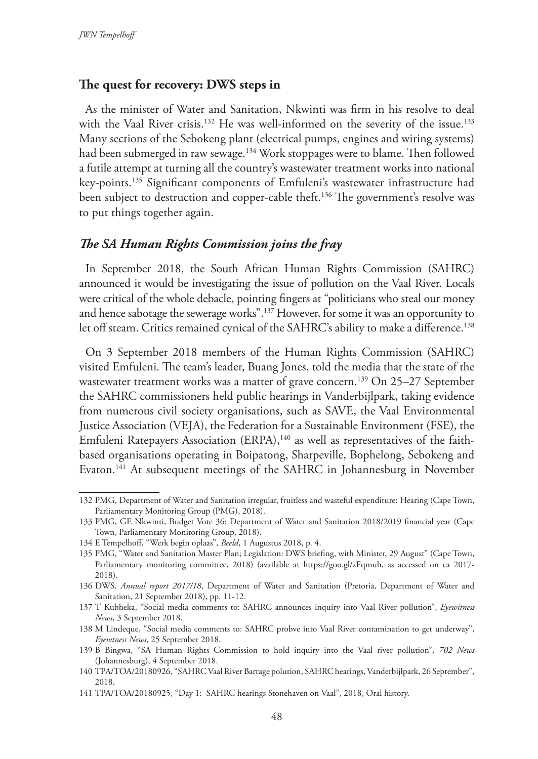#### **The quest for recovery: DWS steps in**

As the minister of Water and Sanitation, Nkwinti was firm in his resolve to deal with the Vaal River crisis.<sup>132</sup> He was well-informed on the severity of the issue.<sup>133</sup> Many sections of the Sebokeng plant (electrical pumps, engines and wiring systems) had been submerged in raw sewage.<sup>134</sup> Work stoppages were to blame. Then followed a futile attempt at turning all the country's wastewater treatment works into national key-points.135 Significant components of Emfuleni's wastewater infrastructure had been subject to destruction and copper-cable theft.<sup>136</sup> The government's resolve was to put things together again.

#### *The SA Human Rights Commission joins the fray*

In September 2018, the South African Human Rights Commission (SAHRC) announced it would be investigating the issue of pollution on the Vaal River. Locals were critical of the whole debacle, pointing fingers at "politicians who steal our money and hence sabotage the sewerage works".137 However, for some it was an opportunity to let off steam. Critics remained cynical of the SAHRC's ability to make a difference.<sup>138</sup>

On 3 September 2018 members of the Human Rights Commission (SAHRC) visited Emfuleni. The team's leader, Buang Jones, told the media that the state of the wastewater treatment works was a matter of grave concern.<sup>139</sup> On 25–27 September the SAHRC commissioners held public hearings in Vanderbijlpark, taking evidence from numerous civil society organisations, such as SAVE, the Vaal Environmental Justice Association (VEJA), the Federation for a Sustainable Environment (FSE), the Emfuleni Ratepayers Association (ERPA),<sup>140</sup> as well as representatives of the faithbased organisations operating in Boipatong, Sharpeville, Bophelong, Sebokeng and Evaton.141 At subsequent meetings of the SAHRC in Johannesburg in November

<sup>132</sup> PMG, Department of Water and Sanitation irregular, fruitless and wasteful expenditure: Hearing (Cape Town, Parliamentary Monitoring Group (PMG), 2018).

<sup>133</sup> PMG, GE Nkwinti, Budget Vote 36: Department of Water and Sanitation 2018/2019 financial year (Cape Town, Parliamentary Monitoring Group, 2018).

<sup>134</sup> E Tempelhoff, "Werk begin oplaas", *Beeld*, 1 Augustus 2018, p. 4.

<sup>135</sup> PMG, "Water and Sanitation Master Plan; Legislation: DWS briefing, with Minister, 29 August" (Cape Town, Parliamentary monitoring committee, 2018) (available at https://goo.gl/zFqmuh, as accessed on ca 2017- 2018).

<sup>136</sup> DWS, *Annual report 2017/18*, Department of Water and Sanitation (Pretoria, Department of Water and Sanitation, 21 September 2018), pp. 11-12.

<sup>137</sup> T Kubheka, "Social media comments to: SAHRC announces inquiry into Vaal River pollution", *Eyewitness News*, 3 September 2018.

<sup>138</sup> M Lindeque, "Social media comments to: SAHRC probve into Vaal River contamination to get underway", *Eyewtness News*, 25 September 2018.

<sup>139</sup> B Bingwa, "SA Human Rights Commission to hold inquiry into the Vaal river pollution", *702 News* (Johannesburg), 4 September 2018.

<sup>140</sup> TPA/TOA/20180926, "SAHRC Vaal River Barrage polution, SAHRC hearings, Vanderbijlpark, 26 September", 2018.

<sup>141</sup> TPA/TOA/20180925, "Day 1: SAHRC hearings Stonehaven on Vaal", 2018, Oral history.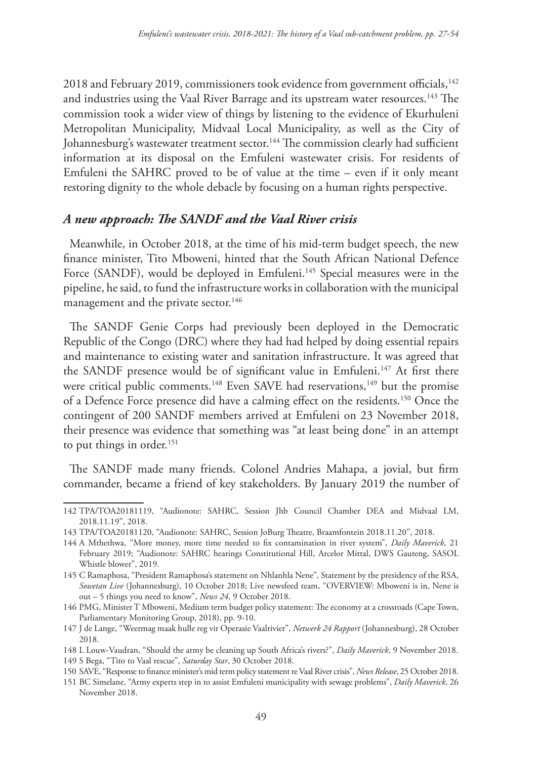2018 and February 2019, commissioners took evidence from government officials,<sup>142</sup> and industries using the Vaal River Barrage and its upstream water resources.<sup>143</sup> The commission took a wider view of things by listening to the evidence of Ekurhuleni Metropolitan Municipality, Midvaal Local Municipality, as well as the City of Johannesburg's wastewater treatment sector.<sup>144</sup> The commission clearly had sufficient information at its disposal on the Emfuleni wastewater crisis. For residents of Emfuleni the SAHRC proved to be of value at the time – even if it only meant restoring dignity to the whole debacle by focusing on a human rights perspective.

#### *A new approach: The SANDF and the Vaal River crisis*

Meanwhile, in October 2018, at the time of his mid-term budget speech, the new finance minister, Tito Mboweni, hinted that the South African National Defence Force (SANDF), would be deployed in Emfuleni.<sup>145</sup> Special measures were in the pipeline, he said, to fund the infrastructure works in collaboration with the municipal management and the private sector.<sup>146</sup>

The SANDF Genie Corps had previously been deployed in the Democratic Republic of the Congo (DRC) where they had had helped by doing essential repairs and maintenance to existing water and sanitation infrastructure. It was agreed that the SANDF presence would be of significant value in Emfuleni.<sup>147</sup> At first there were critical public comments.<sup>148</sup> Even SAVE had reservations,<sup>149</sup> but the promise of a Defence Force presence did have a calming effect on the residents.150 Once the contingent of 200 SANDF members arrived at Emfuleni on 23 November 2018, their presence was evidence that something was "at least being done" in an attempt to put things in order.<sup>151</sup>

The SANDF made many friends. Colonel Andries Mahapa, a jovial, but firm commander, became a friend of key stakeholders. By January 2019 the number of

<sup>142</sup> TPA/TOA20181119, "Audionote: SAHRC, Session Jhb Council Chamber DEA and Midvaal LM, 2018.11.19", 2018.

<sup>143</sup> TPA/TOA20181120, "Audionote: SAHRC, Session JoBurg Theatre, Braamfontein 2018.11.20", 2018.

<sup>144</sup> A Mthethwa, "More money, more time needed to fix contamination in river system", *Daily Maverick*, 21 February 2019; "Audionote: SAHRC hearings Constitutional Hill, Arcelor Mittal, DWS Gauteng, SASOL Whistle blower", 2019.

<sup>145</sup> C Ramaphosa, "President Ramaphosa's statement on Nhlanhla Nene", Statement by the presidency of the RSA, *Sowetan Live* (Johannesburg), 10 October 2018; Live newsfeed team, "OVERVIEW: Mboweni is in, Nene is out – 5 things you need to know", *News 24*, 9 October 2018.

<sup>146</sup> PMG, Minister T Mboweni, Medium term budget policy statement: The economy at a crossroads (Cape Town, Parliamentary Monitoring Group, 2018), pp. 9-10.

<sup>147</sup> J de Lange, "Weermag maak hulle reg vir Operasie Vaalrivier", *Netwerk 24 Rapport* (Johannesburg), 28 October 2018.

<sup>148</sup> L Louw-Vaudran, "Should the army be cleaning up South Africa's rivers?", *Daily Maverick*, 9 November 2018.

<sup>149</sup> S Bega, "Tito to Vaal rescue", *Saturday Star*, 30 October 2018.

<sup>150</sup> SAVE, "Response to finance minister's mid term policy statement re Vaal River crisis", *News Release*, 25 October 2018.

<sup>151</sup> BC Simelane, "Army experts step in to assist Emfuleni municipality with sewage problems", *Daily Maverick*, 26 November 2018.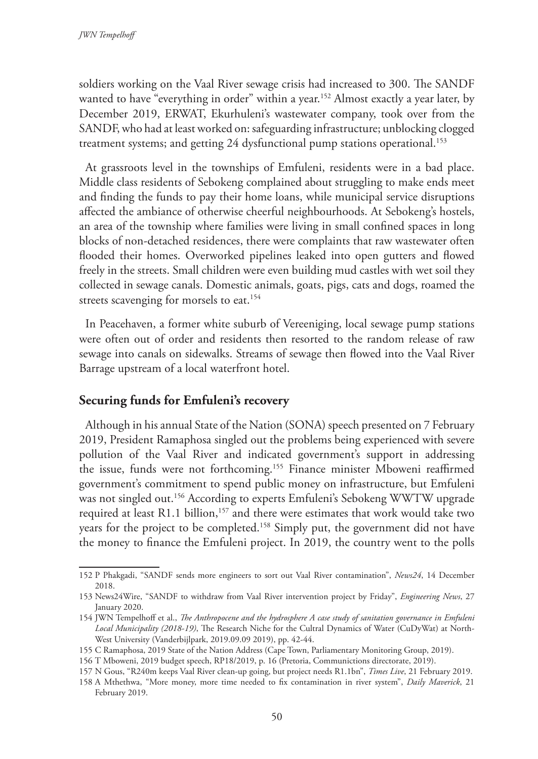soldiers working on the Vaal River sewage crisis had increased to 300. The SANDF wanted to have "everything in order" within a year.<sup>152</sup> Almost exactly a year later, by December 2019, ERWAT, Ekurhuleni's wastewater company, took over from the SANDF, who had at least worked on: safeguarding infrastructure; unblocking clogged treatment systems; and getting 24 dysfunctional pump stations operational.<sup>153</sup>

At grassroots level in the townships of Emfuleni, residents were in a bad place. Middle class residents of Sebokeng complained about struggling to make ends meet and finding the funds to pay their home loans, while municipal service disruptions affected the ambiance of otherwise cheerful neighbourhoods. At Sebokeng's hostels, an area of the township where families were living in small confined spaces in long blocks of non-detached residences, there were complaints that raw wastewater often flooded their homes. Overworked pipelines leaked into open gutters and flowed freely in the streets. Small children were even building mud castles with wet soil they collected in sewage canals. Domestic animals, goats, pigs, cats and dogs, roamed the streets scavenging for morsels to eat.<sup>154</sup>

In Peacehaven, a former white suburb of Vereeniging, local sewage pump stations were often out of order and residents then resorted to the random release of raw sewage into canals on sidewalks. Streams of sewage then flowed into the Vaal River Barrage upstream of a local waterfront hotel.

### **Securing funds for Emfuleni's recovery**

Although in his annual State of the Nation (SONA) speech presented on 7 February 2019, President Ramaphosa singled out the problems being experienced with severe pollution of the Vaal River and indicated government's support in addressing the issue, funds were not forthcoming.155 Finance minister Mboweni reaffirmed government's commitment to spend public money on infrastructure, but Emfuleni was not singled out.<sup>156</sup> According to experts Emfuleni's Sebokeng WWTW upgrade required at least R1.1 billion,<sup>157</sup> and there were estimates that work would take two years for the project to be completed.158 Simply put, the government did not have the money to finance the Emfuleni project. In 2019, the country went to the polls

<sup>152</sup> P Phakgadi, "SANDF sends more engineers to sort out Vaal River contamination", *News24*, 14 December 2018.

<sup>153</sup> News24Wire, "SANDF to withdraw from Vaal River intervention project by Friday", *Engineering News*, 27 January 2020.

<sup>154</sup> JWN Tempelhoff et al., *The Anthropocene and the hydrosphere A case study of sanitation governance in Emfuleni Local Municipality (2018-19)*, The Research Niche for the Cultral Dynamics of Water (CuDyWat) at North-West University (Vanderbijlpark, 2019.09.09 2019), pp. 42-44.

<sup>155</sup> C Ramaphosa, 2019 State of the Nation Address (Cape Town, Parliamentary Monitoring Group, 2019).

<sup>156</sup> T Mboweni, 2019 budget speech, RP18/2019, p. 16 (Pretoria, Communictions directorate, 2019).

<sup>157</sup> N Gous, "R240m keeps Vaal River clean-up going, but project needs R1.1bn", *Times Live*, 21 February 2019.

<sup>158</sup> A Mthethwa, "More money, more time needed to fix contamination in river system", *Daily Maverick*, 21 February 2019.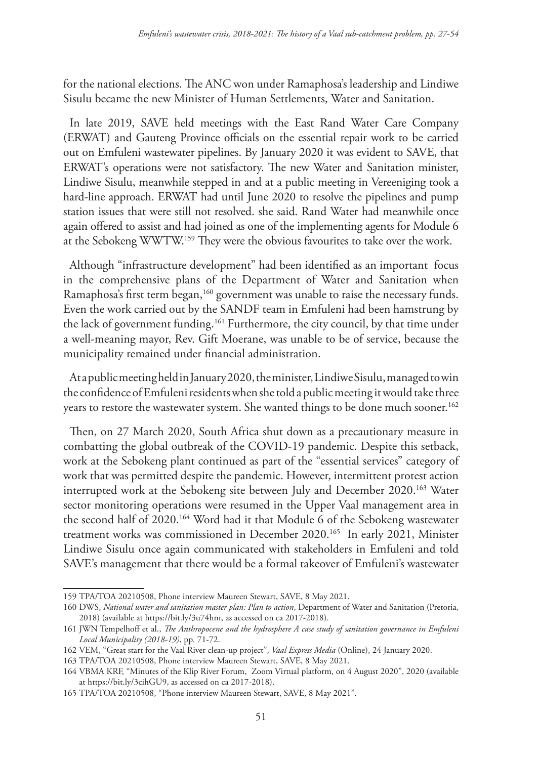for the national elections. The ANC won under Ramaphosa's leadership and Lindiwe Sisulu became the new Minister of Human Settlements, Water and Sanitation.

In late 2019, SAVE held meetings with the East Rand Water Care Company (ERWAT) and Gauteng Province officials on the essential repair work to be carried out on Emfuleni wastewater pipelines. By January 2020 it was evident to SAVE, that ERWAT's operations were not satisfactory. The new Water and Sanitation minister, Lindiwe Sisulu, meanwhile stepped in and at a public meeting in Vereeniging took a hard-line approach. ERWAT had until June 2020 to resolve the pipelines and pump station issues that were still not resolved. she said. Rand Water had meanwhile once again offered to assist and had joined as one of the implementing agents for Module 6 at the Sebokeng WWTW.159 They were the obvious favourites to take over the work.

Although "infrastructure development" had been identified as an important focus in the comprehensive plans of the Department of Water and Sanitation when Ramaphosa's first term began,<sup>160</sup> government was unable to raise the necessary funds. Even the work carried out by the SANDF team in Emfuleni had been hamstrung by the lack of government funding.161 Furthermore, the city council, by that time under a well-meaning mayor, Rev. Gift Moerane, was unable to be of service, because the municipality remained under financial administration.

At a public meeting held in January 2020, the minister, Lindiwe Sisulu, managed to win the confidence of Emfuleni residents when she told a public meeting it would take three years to restore the wastewater system. She wanted things to be done much sooner.<sup>162</sup>

Then, on 27 March 2020, South Africa shut down as a precautionary measure in combatting the global outbreak of the COVID-19 pandemic. Despite this setback, work at the Sebokeng plant continued as part of the "essential services" category of work that was permitted despite the pandemic. However, intermittent protest action interrupted work at the Sebokeng site between July and December 2020.163 Water sector monitoring operations were resumed in the Upper Vaal management area in the second half of 2020.164 Word had it that Module 6 of the Sebokeng wastewater treatment works was commissioned in December 2020.165 In early 2021, Minister Lindiwe Sisulu once again communicated with stakeholders in Emfuleni and told SAVE's management that there would be a formal takeover of Emfuleni's wastewater

<sup>159</sup> TPA/TOA 20210508, Phone interview Maureen Stewart, SAVE, 8 May 2021.

<sup>160</sup> DWS, *National water and sanitation master plan: Plan to action*, Department of Water and Sanitation (Pretoria, 2018) (available at https://bit.ly/3u74hnr, as accessed on ca 2017-2018).

<sup>161</sup> JWN Tempelhoff et al., *The Anthropocene and the hydrosphere A case study of sanitation governance in Emfuleni Local Municipality (2018-19)*, pp. 71-72.

<sup>162</sup> VEM, "Great start for the Vaal River clean-up project", *Vaal Express Media* (Online), 24 January 2020.

<sup>163</sup> TPA/TOA 20210508, Phone interview Maureen Stewart, SAVE, 8 May 2021.

<sup>164</sup> VBMA KRF, "Minutes of the Klip River Forum, Zoom Virtual platform, on 4 August 2020", 2020 (available at https://bit.ly/3cihGU9, as accessed on ca 2017-2018).

<sup>165</sup> TPA/TOA 20210508, "Phone interview Maureen Stewart, SAVE, 8 May 2021".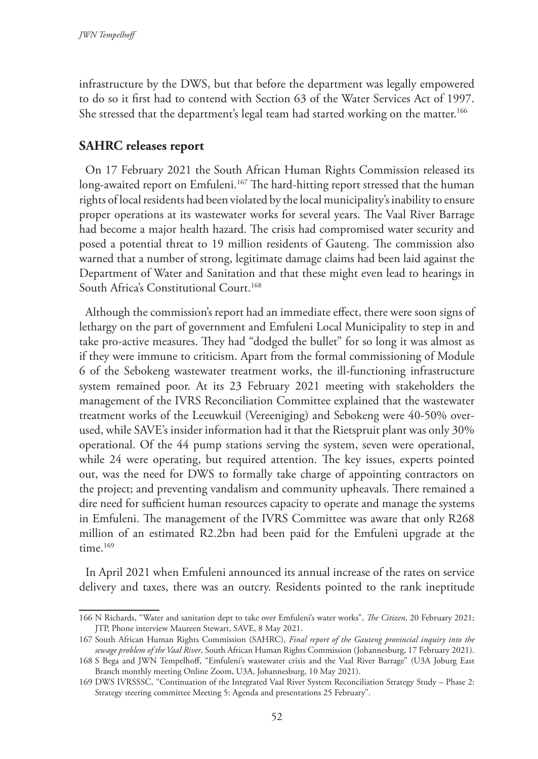infrastructure by the DWS, but that before the department was legally empowered to do so it first had to contend with Section 63 of the Water Services Act of 1997. She stressed that the department's legal team had started working on the matter.<sup>166</sup>

## **SAHRC releases report**

On 17 February 2021 the South African Human Rights Commission released its long-awaited report on Emfuleni.<sup>167</sup> The hard-hitting report stressed that the human rights of local residents had been violated by the local municipality's inability to ensure proper operations at its wastewater works for several years. The Vaal River Barrage had become a major health hazard. The crisis had compromised water security and posed a potential threat to 19 million residents of Gauteng. The commission also warned that a number of strong, legitimate damage claims had been laid against the Department of Water and Sanitation and that these might even lead to hearings in South Africa's Constitutional Court.<sup>168</sup>

Although the commission's report had an immediate effect, there were soon signs of lethargy on the part of government and Emfuleni Local Municipality to step in and take pro-active measures. They had "dodged the bullet" for so long it was almost as if they were immune to criticism. Apart from the formal commissioning of Module 6 of the Sebokeng wastewater treatment works, the ill-functioning infrastructure system remained poor. At its 23 February 2021 meeting with stakeholders the management of the IVRS Reconciliation Committee explained that the wastewater treatment works of the Leeuwkuil (Vereeniging) and Sebokeng were 40-50% overused, while SAVE's insider information had it that the Rietspruit plant was only 30% operational. Of the 44 pump stations serving the system, seven were operational, while 24 were operating, but required attention. The key issues, experts pointed out, was the need for DWS to formally take charge of appointing contractors on the project; and preventing vandalism and community upheavals. There remained a dire need for sufficient human resources capacity to operate and manage the systems in Emfuleni. The management of the IVRS Committee was aware that only R268 million of an estimated R2.2bn had been paid for the Emfuleni upgrade at the time.<sup>169</sup>

In April 2021 when Emfuleni announced its annual increase of the rates on service delivery and taxes, there was an outcry. Residents pointed to the rank ineptitude

<sup>166</sup> N Richards, "Water and sanitation dept to take over Emfuleni's water works", *The Citizen*, 20 February 2021; JTP, Phone interview Maureen Stewart, SAVE, 8 May 2021.

<sup>167</sup> South African Human Rights Commission (SAHRC), *Final report of the Gauteng provincial inquiry into the sewage problem of the Vaal River*, South African Human Rights Commission (Johannesburg, 17 February 2021).

<sup>168</sup> S Bega and JWN Tempelhoff, "Emfuleni's wastewater crisis and the Vaal River Barrage" (U3A Joburg East Branch monthly meeting Online Zoom, U3A, Johannesburg, 10 May 2021).

<sup>169</sup> DWS IVRSSSC, "Continuation of the Integrated Vaal River System Reconciliation Strategy Study – Phase 2: Strategy steering committee Meeting 5: Agenda and presentations 25 February".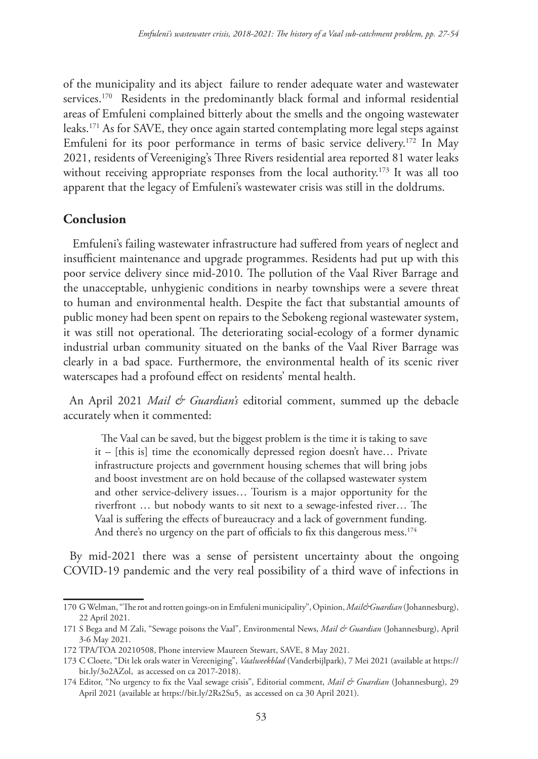of the municipality and its abject failure to render adequate water and wastewater services.<sup>170</sup> Residents in the predominantly black formal and informal residential areas of Emfuleni complained bitterly about the smells and the ongoing wastewater leaks.171 As for SAVE, they once again started contemplating more legal steps against Emfuleni for its poor performance in terms of basic service delivery.<sup>172</sup> In May 2021, residents of Vereeniging's Three Rivers residential area reported 81 water leaks without receiving appropriate responses from the local authority.<sup>173</sup> It was all too apparent that the legacy of Emfuleni's wastewater crisis was still in the doldrums.

#### **Conclusion**

 Emfuleni's failing wastewater infrastructure had suffered from years of neglect and insufficient maintenance and upgrade programmes. Residents had put up with this poor service delivery since mid-2010. The pollution of the Vaal River Barrage and the unacceptable, unhygienic conditions in nearby townships were a severe threat to human and environmental health. Despite the fact that substantial amounts of public money had been spent on repairs to the Sebokeng regional wastewater system, it was still not operational. The deteriorating social-ecology of a former dynamic industrial urban community situated on the banks of the Vaal River Barrage was clearly in a bad space. Furthermore, the environmental health of its scenic river waterscapes had a profound effect on residents' mental health.

An April 2021 *Mail & Guardian's* editorial comment, summed up the debacle accurately when it commented:

The Vaal can be saved, but the biggest problem is the time it is taking to save it – [this is] time the economically depressed region doesn't have… Private infrastructure projects and government housing schemes that will bring jobs and boost investment are on hold because of the collapsed wastewater system and other service-delivery issues… Tourism is a major opportunity for the riverfront … but nobody wants to sit next to a sewage-infested river… The Vaal is suffering the effects of bureaucracy and a lack of government funding. And there's no urgency on the part of officials to fix this dangerous mess.<sup>174</sup>

By mid-2021 there was a sense of persistent uncertainty about the ongoing COVID-19 pandemic and the very real possibility of a third wave of infections in

<sup>170</sup> G Welman, "The rot and rotten goings-on in Emfuleni municipality", Opinion, *Mail&Guardian* (Johannesburg), 22 April 2021.

<sup>171</sup> S Bega and M Zali, "Sewage poisons the Vaal", Environmental News, *Mail & Guardian* (Johannesburg), April 3-6 May 2021.

<sup>172</sup> TPA/TOA 20210508, Phone interview Maureen Stewart, SAVE, 8 May 2021.

<sup>173</sup> C Cloete, "Dit lek orals water in Vereeniging", *Vaalweekblad* (Vanderbijlpark), 7 Mei 2021 (available at https:// bit.ly/3o2AZol, as accessed on ca 2017-2018).

<sup>174</sup> Editor, "No urgency to fix the Vaal sewage crisis", Editorial comment, *Mail & Guardian* (Johannesburg), 29 April 2021 (available at https://bit.ly/2Rs2Su5, as accessed on ca 30 April 2021).